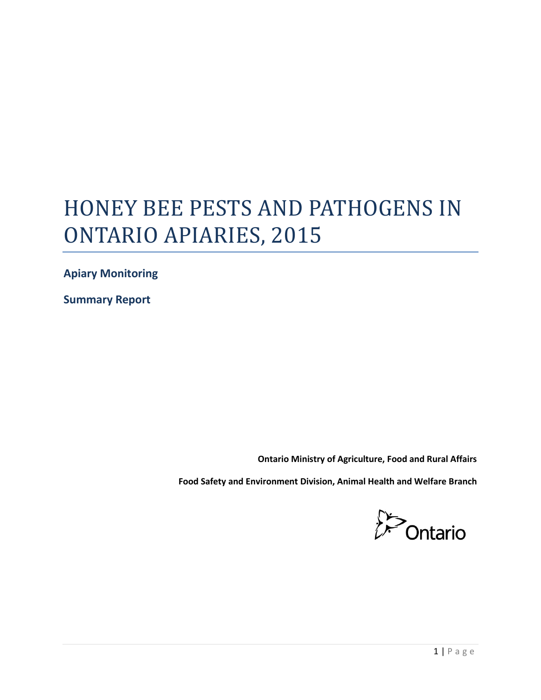# HONEY BEE PESTS AND PATHOGENS IN ONTARIO APIARIES, 2015

**Apiary Monitoring** 

**Summary Report** 

**Ontario Ministry of Agriculture, Food and Rural Affairs** 

**Food Safety and Environment Division, Animal Health and Welfare Branch** 

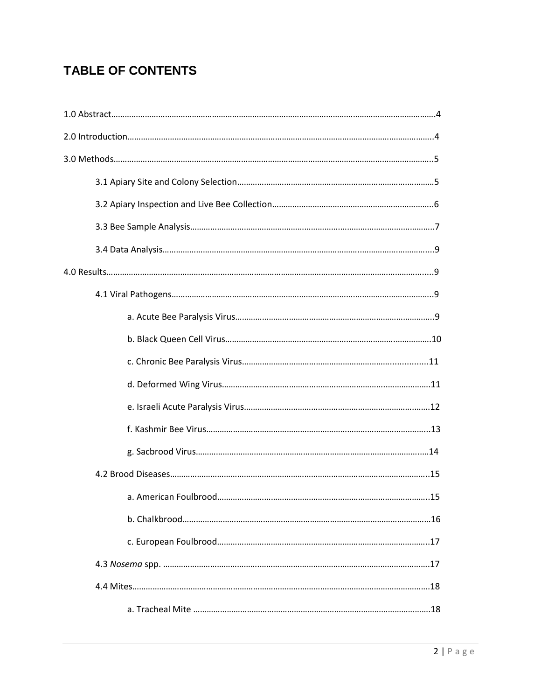# **TABLE OF CONTENTS**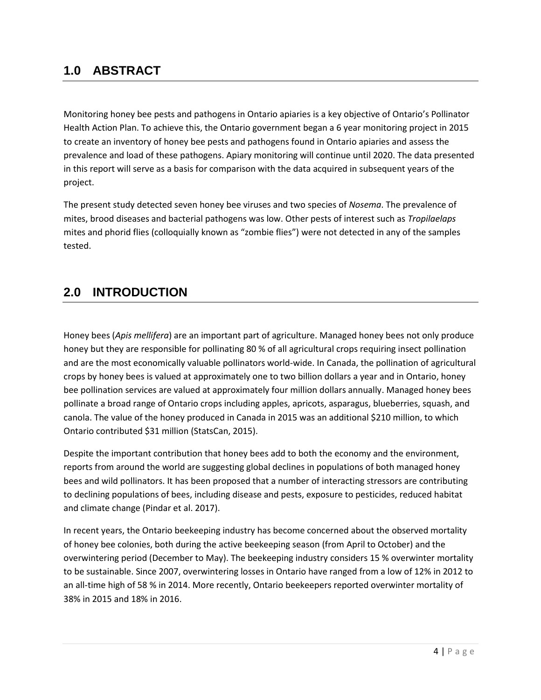# **1.0 ABSTRACT**

Monitoring honey bee pests and pathogens in Ontario apiaries is a key objective of Ontario's Pollinator Health Action Plan. To achieve this, the Ontario government began a 6 year monitoring project in 2015 to create an inventory of honey bee pests and pathogens found in Ontario apiaries and assess the prevalence and load of these pathogens. Apiary monitoring will continue until 2020. The data presented in this report will serve as a basis for comparison with the data acquired in subsequent years of the project.

The present study detected seven honey bee viruses and two species of *Nosema*. The prevalence of mites, brood diseases and bacterial pathogens was low. Other pests of interest such as *Tropilaelaps* mites and phorid flies (colloquially known as "zombie flies") were not detected in any of the samples tested.

# **2.0 INTRODUCTION**

Honey bees (*Apis mellifera*) are an important part of agriculture. Managed honey bees not only produce honey but they are responsible for pollinating 80 % of all agricultural crops requiring insect pollination and are the most economically valuable pollinators world-wide. In Canada, the pollination of agricultural crops by honey bees is valued at approximately one to two billion dollars a year and in Ontario, honey bee pollination services are valued at approximately four million dollars annually. Managed honey bees pollinate a broad range of Ontario crops including apples, apricots, asparagus, blueberries, squash, and canola. The value of the honey produced in Canada in 2015 was an additional \$210 million, to which Ontario contributed \$31 million (StatsCan, 2015).

Despite the important contribution that honey bees add to both the economy and the environment, reports from around the world are suggesting global declines in populations of both managed honey bees and wild pollinators. It has been proposed that a number of interacting stressors are contributing to declining populations of bees, including disease and pests, exposure to pesticides, reduced habitat and climate change (Pindar et al. 2017).

In recent years, the Ontario beekeeping industry has become concerned about the observed mortality of honey bee colonies, both during the active beekeeping season (from April to October) and the overwintering period (December to May). The beekeeping industry considers 15 % overwinter mortality to be sustainable. Since 2007, overwintering losses in Ontario have ranged from a low of 12% in 2012 to an all-time high of 58 % in 2014. More recently, Ontario beekeepers reported overwinter mortality of 38% in 2015 and 18% in 2016.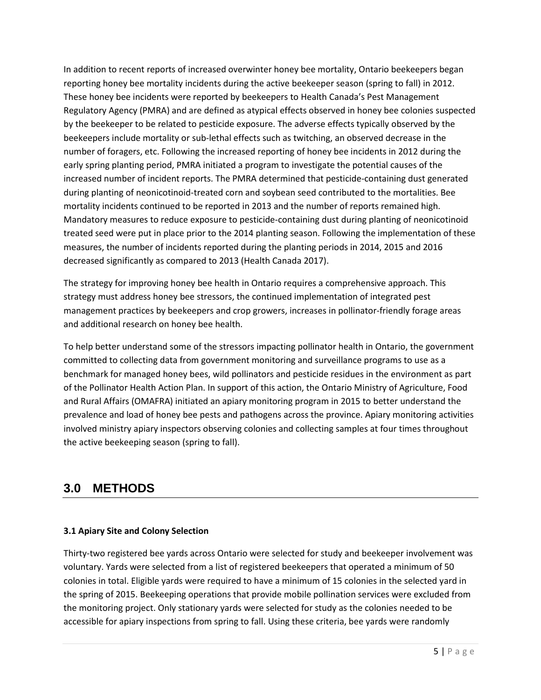In addition to recent reports of increased overwinter honey bee mortality, Ontario beekeepers began reporting honey bee mortality incidents during the active beekeeper season (spring to fall) in 2012. These honey bee incidents were reported by beekeepers to Health Canada's Pest Management Regulatory Agency (PMRA) and are defined as atypical effects observed in honey bee colonies suspected by the beekeeper to be related to pesticide exposure. The adverse effects typically observed by the beekeepers include mortality or sub-lethal effects such as twitching, an observed decrease in the number of foragers, etc. Following the increased reporting of honey bee incidents in 2012 during the early spring planting period, PMRA initiated a program to investigate the potential causes of the increased number of incident reports. The PMRA determined that pesticide-containing dust generated during planting of neonicotinoid-treated corn and soybean seed contributed to the mortalities. Bee mortality incidents continued to be reported in 2013 and the number of reports remained high. Mandatory measures to reduce exposure to pesticide-containing dust during planting of neonicotinoid treated seed were put in place prior to the 2014 planting season. Following the implementation of these measures, the number of incidents reported during the planting periods in 2014, 2015 and 2016 decreased significantly as compared to 2013 (Health Canada 2017).

The strategy for improving honey bee health in Ontario requires a comprehensive approach. This strategy must address honey bee stressors, the continued implementation of integrated pest management practices by beekeepers and crop growers, increases in pollinator-friendly forage areas and additional research on honey bee health.

To help better understand some of the stressors impacting pollinator health in Ontario, the government committed to collecting data from government monitoring and surveillance programs to use as a benchmark for managed honey bees, wild pollinators and pesticide residues in the environment as part of the Pollinator Health Action Plan. In support of this action, the Ontario Ministry of Agriculture, Food and Rural Affairs (OMAFRA) initiated an apiary monitoring program in 2015 to better understand the prevalence and load of honey bee pests and pathogens across the province. Apiary monitoring activities involved ministry apiary inspectors observing colonies and collecting samples at four times throughout the active beekeeping season (spring to fall).

# **3.0 METHODS**

# **3.1 Apiary Site and Colony Selection**

Thirty-two registered bee yards across Ontario were selected for study and beekeeper involvement was voluntary. Yards were selected from a list of registered beekeepers that operated a minimum of 50 colonies in total. Eligible yards were required to have a minimum of 15 colonies in the selected yard in the spring of 2015. Beekeeping operations that provide mobile pollination services were excluded from the monitoring project. Only stationary yards were selected for study as the colonies needed to be accessible for apiary inspections from spring to fall. Using these criteria, bee yards were randomly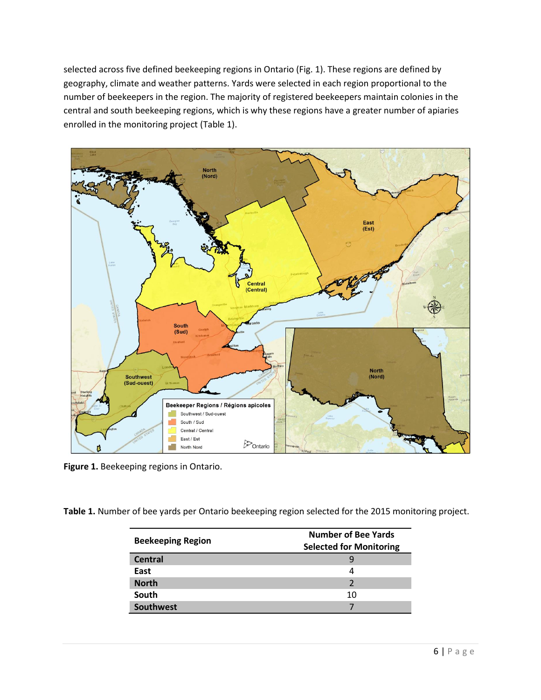selected across five defined beekeeping regions in Ontario (Fig. 1). These regions are defined by geography, climate and weather patterns. Yards were selected in each region proportional to the number of beekeepers in the region. The majority of registered beekeepers maintain colonies in the central and south beekeeping regions, which is why these regions have a greater number of apiaries enrolled in the monitoring project (Table 1).



**Figure 1.** Beekeeping regions in Ontario.

**Table 1.** Number of bee yards per Ontario beekeeping region selected for the 2015 monitoring project.

| <b>Beekeeping Region</b> | <b>Number of Bee Yards</b><br><b>Selected for Monitoring</b> |
|--------------------------|--------------------------------------------------------------|
| Central                  |                                                              |
| East                     | 4                                                            |
| <b>North</b>             |                                                              |
| South                    | 10                                                           |
| <b>Southwest</b>         |                                                              |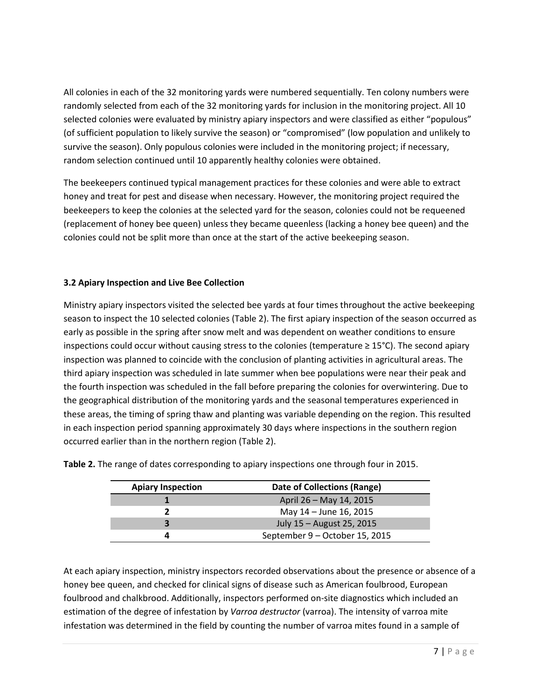All colonies in each of the 32 monitoring yards were numbered sequentially. Ten colony numbers were randomly selected from each of the 32 monitoring yards for inclusion in the monitoring project. All 10 selected colonies were evaluated by ministry apiary inspectors and were classified as either "populous" (of sufficient population to likely survive the season) or "compromised" (low population and unlikely to survive the season). Only populous colonies were included in the monitoring project; if necessary, random selection continued until 10 apparently healthy colonies were obtained.

The beekeepers continued typical management practices for these colonies and were able to extract honey and treat for pest and disease when necessary. However, the monitoring project required the beekeepers to keep the colonies at the selected yard for the season, colonies could not be requeened (replacement of honey bee queen) unless they became queenless (lacking a honey bee queen) and the colonies could not be split more than once at the start of the active beekeeping season.

# **3.2 Apiary Inspection and Live Bee Collection**

Ministry apiary inspectors visited the selected bee yards at four times throughout the active beekeeping season to inspect the 10 selected colonies (Table 2). The first apiary inspection of the season occurred as early as possible in the spring after snow melt and was dependent on weather conditions to ensure inspections could occur without causing stress to the colonies (temperature ≥ 15°C). The second apiary inspection was planned to coincide with the conclusion of planting activities in agricultural areas. The third apiary inspection was scheduled in late summer when bee populations were near their peak and the fourth inspection was scheduled in the fall before preparing the colonies for overwintering. Due to the geographical distribution of the monitoring yards and the seasonal temperatures experienced in these areas, the timing of spring thaw and planting was variable depending on the region. This resulted in each inspection period spanning approximately 30 days where inspections in the southern region occurred earlier than in the northern region (Table 2).

| <b>Apiary Inspection</b> | Date of Collections (Range)    |
|--------------------------|--------------------------------|
|                          | April 26 - May 14, 2015        |
|                          | May 14 – June 16, 2015         |
|                          | July 15 - August 25, 2015      |
|                          | September 9 - October 15, 2015 |

**Table 2.** The range of dates corresponding to apiary inspections one through four in 2015.

At each apiary inspection, ministry inspectors recorded observations about the presence or absence of a honey bee queen, and checked for clinical signs of disease such as American foulbrood, European foulbrood and chalkbrood. Additionally, inspectors performed on-site diagnostics which included an estimation of the degree of infestation by *Varroa destructor* (varroa). The intensity of varroa mite infestation was determined in the field by counting the number of varroa mites found in a sample of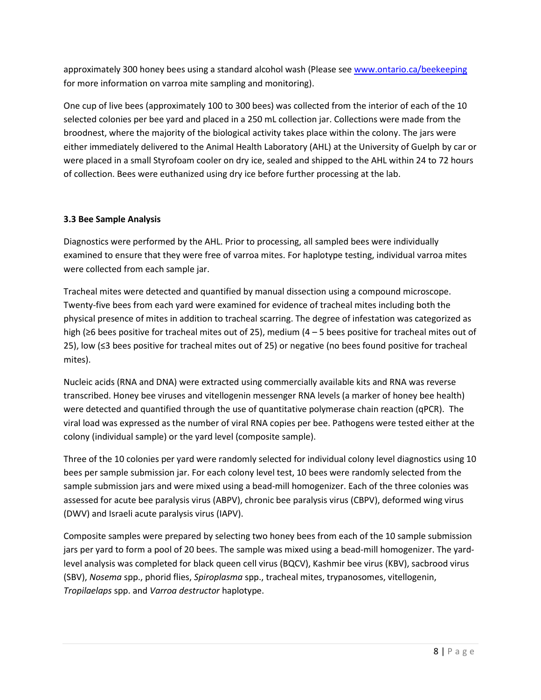approximately 300 honey bees using a standard alcohol wash (Please see [www.ontario.ca/beekeeping](http://www.ontario.ca/beekeeping) for more information on varroa mite sampling and monitoring).

One cup of live bees (approximately 100 to 300 bees) was collected from the interior of each of the 10 selected colonies per bee yard and placed in a 250 mL collection jar. Collections were made from the broodnest, where the majority of the biological activity takes place within the colony. The jars were either immediately delivered to the Animal Health Laboratory (AHL) at the University of Guelph by car or were placed in a small Styrofoam cooler on dry ice, sealed and shipped to the AHL within 24 to 72 hours of collection. Bees were euthanized using dry ice before further processing at the lab.

# **3.3 Bee Sample Analysis**

Diagnostics were performed by the AHL. Prior to processing, all sampled bees were individually examined to ensure that they were free of varroa mites. For haplotype testing, individual varroa mites were collected from each sample jar.

Tracheal mites were detected and quantified by manual dissection using a compound microscope. Twenty-five bees from each yard were examined for evidence of tracheal mites including both the physical presence of mites in addition to tracheal scarring. The degree of infestation was categorized as high (≥6 bees positive for tracheal mites out of 25), medium (4 – 5 bees positive for tracheal mites out of 25), low (≤3 bees positive for tracheal mites out of 25) or negative (no bees found positive for tracheal mites).

Nucleic acids (RNA and DNA) were extracted using commercially available kits and RNA was reverse transcribed. Honey bee viruses and vitellogenin messenger RNA levels (a marker of honey bee health) were detected and quantified through the use of quantitative polymerase chain reaction (qPCR). The viral load was expressed as the number of viral RNA copies per bee. Pathogens were tested either at the colony (individual sample) or the yard level (composite sample).

Three of the 10 colonies per yard were randomly selected for individual colony level diagnostics using 10 bees per sample submission jar. For each colony level test, 10 bees were randomly selected from the sample submission jars and were mixed using a bead-mill homogenizer. Each of the three colonies was assessed for acute bee paralysis virus (ABPV), chronic bee paralysis virus (CBPV), deformed wing virus (DWV) and Israeli acute paralysis virus (IAPV).

Composite samples were prepared by selecting two honey bees from each of the 10 sample submission jars per yard to form a pool of 20 bees. The sample was mixed using a bead-mill homogenizer. The yardlevel analysis was completed for black queen cell virus (BQCV), Kashmir bee virus (KBV), sacbrood virus (SBV), *Nosema* spp., phorid flies, *Spiroplasma* spp., tracheal mites, trypanosomes, vitellogenin, *Tropilaelaps* spp. and *Varroa destructor* haplotype.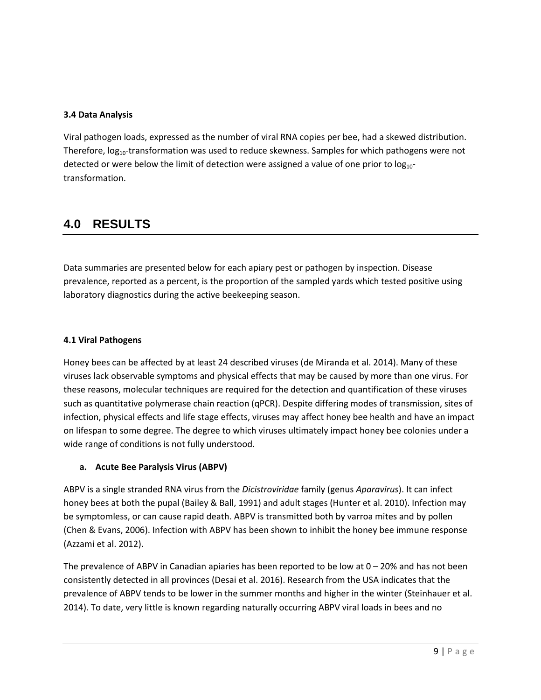#### **3.4 Data Analysis**

Viral pathogen loads, expressed as the number of viral RNA copies per bee, had a skewed distribution. Therefore,  $log<sub>10</sub>$ -transformation was used to reduce skewness. Samples for which pathogens were not detected or were below the limit of detection were assigned a value of one prior to  $log_{10}$ transformation.

# **4.0 RESULTS**

Data summaries are presented below for each apiary pest or pathogen by inspection. Disease prevalence, reported as a percent, is the proportion of the sampled yards which tested positive using laboratory diagnostics during the active beekeeping season.

#### **4.1 Viral Pathogens**

Honey bees can be affected by at least 24 described viruses (de Miranda et al. 2014). Many of these viruses lack observable symptoms and physical effects that may be caused by more than one virus. For these reasons, molecular techniques are required for the detection and quantification of these viruses such as quantitative polymerase chain reaction (qPCR). Despite differing modes of transmission, sites of infection, physical effects and life stage effects, viruses may affect honey bee health and have an impact on lifespan to some degree. The degree to which viruses ultimately impact honey bee colonies under a wide range of conditions is not fully understood.

# **a. Acute Bee Paralysis Virus (ABPV)**

ABPV is a single stranded RNA virus from the *Dicistroviridae* family (genus *Aparavirus*). It can infect honey bees at both the pupal (Bailey & Ball, 1991) and adult stages (Hunter et al. 2010). Infection may be symptomless, or can cause rapid death. ABPV is transmitted both by varroa mites and by pollen (Chen & Evans, 2006). Infection with ABPV has been shown to inhibit the honey bee immune response (Azzami et al. 2012).

The prevalence of ABPV in Canadian apiaries has been reported to be low at  $0-20%$  and has not been consistently detected in all provinces (Desai et al. 2016). Research from the USA indicates that the prevalence of ABPV tends to be lower in the summer months and higher in the winter (Steinhauer et al. 2014). To date, very little is known regarding naturally occurring ABPV viral loads in bees and no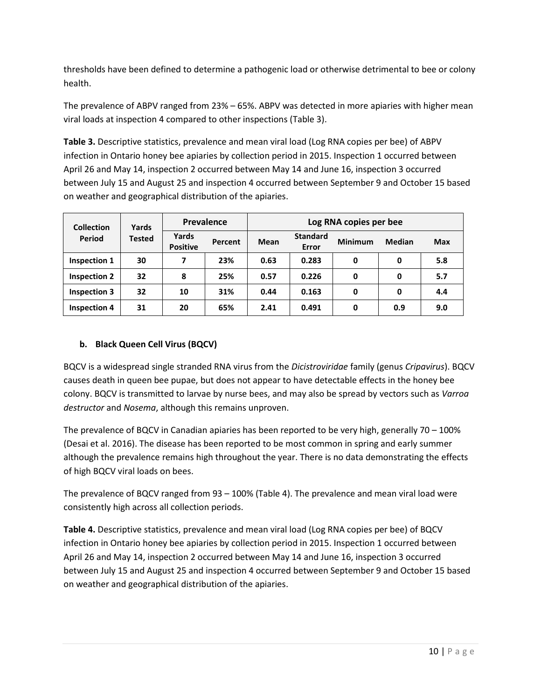thresholds have been defined to determine a pathogenic load or otherwise detrimental to bee or colony health.

The prevalence of ABPV ranged from 23% – 65%. ABPV was detected in more apiaries with higher mean viral loads at inspection 4 compared to other inspections (Table 3).

**Table 3.** Descriptive statistics, prevalence and mean viral load (Log RNA copies per bee) of ABPV infection in Ontario honey bee apiaries by collection period in 2015. Inspection 1 occurred between April 26 and May 14, inspection 2 occurred between May 14 and June 16, inspection 3 occurred between July 15 and August 25 and inspection 4 occurred between September 9 and October 15 based on weather and geographical distribution of the apiaries.

| <b>Collection</b>   | Yards         | Prevalence               |         | Log RNA copies per bee |                          |                |               |            |  |
|---------------------|---------------|--------------------------|---------|------------------------|--------------------------|----------------|---------------|------------|--|
| Period              | <b>Tested</b> | Yards<br><b>Positive</b> | Percent | <b>Mean</b>            | <b>Standard</b><br>Error | <b>Minimum</b> | <b>Median</b> | <b>Max</b> |  |
| Inspection 1        | 30            | 7                        | 23%     | 0.63                   | 0.283                    | 0              | 0             | 5.8        |  |
| <b>Inspection 2</b> | 32            | 8                        | 25%     | 0.57                   | 0.226                    | 0              | 0             | 5.7        |  |
| <b>Inspection 3</b> | 32            | 10                       | 31%     | 0.44                   | 0.163                    | 0              | 0             | 4.4        |  |
| <b>Inspection 4</b> | 31            | 20                       | 65%     | 2.41                   | 0.491                    | 0              | 0.9           | 9.0        |  |

# **b. Black Queen Cell Virus (BQCV)**

BQCV is a widespread single stranded RNA virus from the *Dicistroviridae* family (genus *Cripavirus*). BQCV causes death in queen bee pupae, but does not appear to have detectable effects in the honey bee colony. BQCV is transmitted to larvae by nurse bees, and may also be spread by vectors such as *Varroa destructor* and *Nosema*, although this remains unproven.

The prevalence of BQCV in Canadian apiaries has been reported to be very high, generally 70 – 100% (Desai et al. 2016). The disease has been reported to be most common in spring and early summer although the prevalence remains high throughout the year. There is no data demonstrating the effects of high BQCV viral loads on bees.

The prevalence of BQCV ranged from 93 – 100% (Table 4). The prevalence and mean viral load were consistently high across all collection periods.

**Table 4.** Descriptive statistics, prevalence and mean viral load (Log RNA copies per bee) of BQCV infection in Ontario honey bee apiaries by collection period in 2015. Inspection 1 occurred between April 26 and May 14, inspection 2 occurred between May 14 and June 16, inspection 3 occurred between July 15 and August 25 and inspection 4 occurred between September 9 and October 15 based on weather and geographical distribution of the apiaries.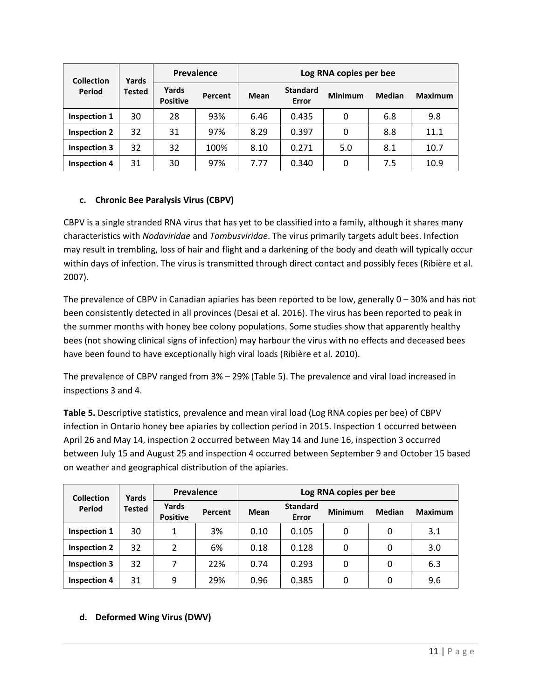| <b>Collection</b><br>Period | Yards         | <b>Prevalence</b>        |         | Log RNA copies per bee |                          |                |               |                |  |
|-----------------------------|---------------|--------------------------|---------|------------------------|--------------------------|----------------|---------------|----------------|--|
|                             | <b>Tested</b> | Yards<br><b>Positive</b> | Percent | Mean                   | <b>Standard</b><br>Error | <b>Minimum</b> | <b>Median</b> | <b>Maximum</b> |  |
| Inspection 1                | 30            | 28                       | 93%     | 6.46                   | 0.435                    | 0              | 6.8           | 9.8            |  |
| <b>Inspection 2</b>         | 32            | 31                       | 97%     | 8.29                   | 0.397                    | 0              | 8.8           | 11.1           |  |
| <b>Inspection 3</b>         | 32            | 32                       | 100%    | 8.10                   | 0.271                    | 5.0            | 8.1           | 10.7           |  |
| <b>Inspection 4</b>         | 31            | 30                       | 97%     | 7.77                   | 0.340                    | 0              | 7.5           | 10.9           |  |

# **c. Chronic Bee Paralysis Virus (CBPV)**

CBPV is a single stranded RNA virus that has yet to be classified into a family, although it shares many characteristics with *Nodaviridae* and *Tombusviridae*. The virus primarily targets adult bees. Infection may result in trembling, loss of hair and flight and a darkening of the body and death will typically occur within days of infection. The virus is transmitted through direct contact and possibly feces (Ribière et al. 2007).

The prevalence of CBPV in Canadian apiaries has been reported to be low, generally 0 – 30% and has not been consistently detected in all provinces (Desai et al. 2016). The virus has been reported to peak in the summer months with honey bee colony populations. Some studies show that apparently healthy bees (not showing clinical signs of infection) may harbour the virus with no effects and deceased bees have been found to have exceptionally high viral loads (Ribière et al. 2010).

The prevalence of CBPV ranged from 3% – 29% (Table 5). The prevalence and viral load increased in inspections 3 and 4.

**Table 5.** Descriptive statistics, prevalence and mean viral load (Log RNA copies per bee) of CBPV infection in Ontario honey bee apiaries by collection period in 2015. Inspection 1 occurred between April 26 and May 14, inspection 2 occurred between May 14 and June 16, inspection 3 occurred between July 15 and August 25 and inspection 4 occurred between September 9 and October 15 based on weather and geographical distribution of the apiaries.

| <b>Collection</b>   | Yards  | Prevalence               |         | Log RNA copies per bee |                          |                |               |                |  |
|---------------------|--------|--------------------------|---------|------------------------|--------------------------|----------------|---------------|----------------|--|
| Period              | Tested | Yards<br><b>Positive</b> | Percent | Mean                   | <b>Standard</b><br>Error | <b>Minimum</b> | <b>Median</b> | <b>Maximum</b> |  |
| <b>Inspection 1</b> | 30     | 1                        | 3%      | 0.10                   | 0.105                    | 0              | 0             | 3.1            |  |
| <b>Inspection 2</b> | 32     | 2                        | 6%      | 0.18                   | 0.128                    | 0              | 0             | 3.0            |  |
| <b>Inspection 3</b> | 32     | 7                        | 22%     | 0.74                   | 0.293                    | 0              | 0             | 6.3            |  |
| <b>Inspection 4</b> | 31     | 9                        | 29%     | 0.96                   | 0.385                    | 0              | 0             | 9.6            |  |

# **d. Deformed Wing Virus (DWV)**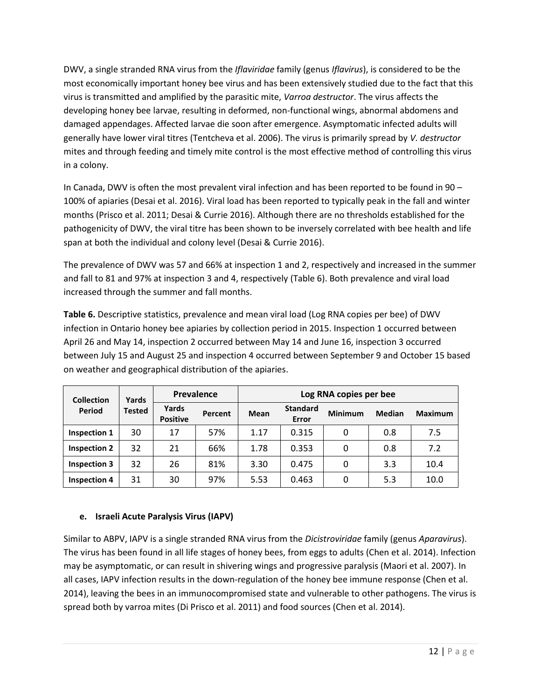DWV, a single stranded RNA virus from the *Iflaviridae* family (genus *Iflavirus*), is considered to be the most economically important honey bee virus and has been extensively studied due to the fact that this virus is transmitted and amplified by the parasitic mite, *Varroa destructor*. The virus affects the developing honey bee larvae, resulting in deformed, non-functional wings, abnormal abdomens and damaged appendages. Affected larvae die soon after emergence. Asymptomatic infected adults will generally have lower viral titres (Tentcheva et al. 2006). The virus is primarily spread by *V. destructor* mites and through feeding and timely mite control is the most effective method of controlling this virus in a colony.

In Canada, DWV is often the most prevalent viral infection and has been reported to be found in 90 – 100% of apiaries (Desai et al. 2016). Viral load has been reported to typically peak in the fall and winter months (Prisco et al. 2011; Desai & Currie 2016). Although there are no thresholds established for the pathogenicity of DWV, the viral titre has been shown to be inversely correlated with bee health and life span at both the individual and colony level (Desai & Currie 2016).

The prevalence of DWV was 57 and 66% at inspection 1 and 2, respectively and increased in the summer and fall to 81 and 97% at inspection 3 and 4, respectively (Table 6). Both prevalence and viral load increased through the summer and fall months.

**Table 6.** Descriptive statistics, prevalence and mean viral load (Log RNA copies per bee) of DWV infection in Ontario honey bee apiaries by collection period in 2015. Inspection 1 occurred between April 26 and May 14, inspection 2 occurred between May 14 and June 16, inspection 3 occurred between July 15 and August 25 and inspection 4 occurred between September 9 and October 15 based on weather and geographical distribution of the apiaries.

| <b>Collection</b>   | Yards         | Prevalence               |         | Log RNA copies per bee |                          |                |               |                |  |
|---------------------|---------------|--------------------------|---------|------------------------|--------------------------|----------------|---------------|----------------|--|
| Period              | <b>Tested</b> | Yards<br><b>Positive</b> | Percent | <b>Mean</b>            | <b>Standard</b><br>Error | <b>Minimum</b> | <b>Median</b> | <b>Maximum</b> |  |
| Inspection 1        | 30            | 17                       | 57%     | 1.17                   | 0.315                    | 0              | 0.8           | 7.5            |  |
| <b>Inspection 2</b> | 32            | 21                       | 66%     | 1.78                   | 0.353                    | $\Omega$       | 0.8           | 7.2            |  |
| <b>Inspection 3</b> | 32            | 26                       | 81%     | 3.30                   | 0.475                    | 0              | 3.3           | 10.4           |  |
| <b>Inspection 4</b> | 31            | 30                       | 97%     | 5.53                   | 0.463                    | 0              | 5.3           | 10.0           |  |

# **e. Israeli Acute Paralysis Virus (IAPV)**

Similar to ABPV, IAPV is a single stranded RNA virus from the *Dicistroviridae* family (genus *Aparavirus*). The virus has been found in all life stages of honey bees, from eggs to adults (Chen et al. 2014). Infection may be asymptomatic, or can result in shivering wings and progressive paralysis (Maori et al. 2007). In all cases, IAPV infection results in the down-regulation of the honey bee immune response (Chen et al. 2014), leaving the bees in an immunocompromised state and vulnerable to other pathogens. The virus is spread both by varroa mites (Di Prisco et al. 2011) and food sources (Chen et al. 2014).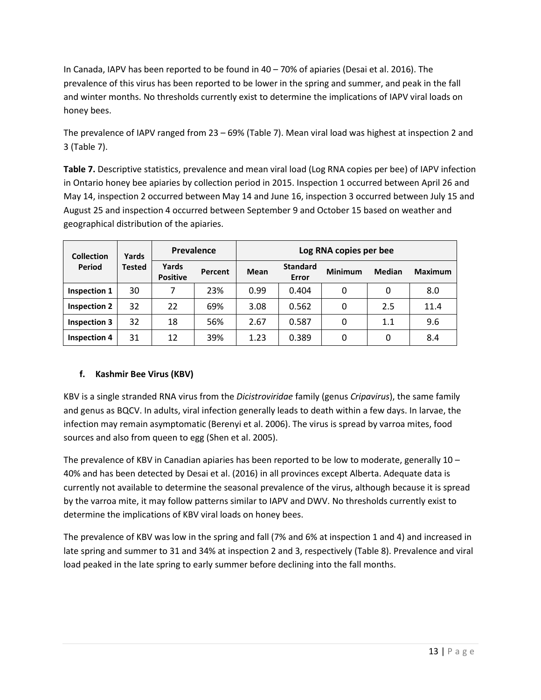In Canada, IAPV has been reported to be found in 40 – 70% of apiaries (Desai et al. 2016). The prevalence of this virus has been reported to be lower in the spring and summer, and peak in the fall and winter months. No thresholds currently exist to determine the implications of IAPV viral loads on honey bees.

The prevalence of IAPV ranged from 23 – 69% (Table 7). Mean viral load was highest at inspection 2 and 3 (Table 7).

Table 7. Descriptive statistics, prevalence and mean viral load (Log RNA copies per bee) of IAPV infection in Ontario honey bee apiaries by collection period in 2015. Inspection 1 occurred between April 26 and May 14, inspection 2 occurred between May 14 and June 16, inspection 3 occurred between July 15 and August 25 and inspection 4 occurred between September 9 and October 15 based on weather and geographical distribution of the apiaries.

| <b>Collection</b><br>Yards<br>Period<br>Tested |                          | Prevalence |             | Log RNA copies per bee   |                |               |                |      |  |
|------------------------------------------------|--------------------------|------------|-------------|--------------------------|----------------|---------------|----------------|------|--|
|                                                | Yards<br><b>Positive</b> | Percent    | <b>Mean</b> | <b>Standard</b><br>Error | <b>Minimum</b> | <b>Median</b> | <b>Maximum</b> |      |  |
| Inspection 1                                   | 30                       | 7          | 23%         | 0.99                     | 0.404          | 0             | 0              | 8.0  |  |
| <b>Inspection 2</b>                            | 32                       | 22         | 69%         | 3.08                     | 0.562          | 0             | 2.5            | 11.4 |  |
| <b>Inspection 3</b>                            | 32                       | 18         | 56%         | 2.67                     | 0.587          | 0             | $1.1\,$        | 9.6  |  |
| <b>Inspection 4</b>                            | 31                       | 12         | 39%         | 1.23                     | 0.389          | 0             | 0              | 8.4  |  |

# **f. Kashmir Bee Virus (KBV)**

KBV is a single stranded RNA virus from the *Dicistroviridae* family (genus *Cripavirus*), the same family and genus as BQCV. In adults, viral infection generally leads to death within a few days. In larvae, the infection may remain asymptomatic (Berenyi et al. 2006). The virus is spread by varroa mites, food sources and also from queen to egg (Shen et al. 2005).

The prevalence of KBV in Canadian apiaries has been reported to be low to moderate, generally 10 – 40% and has been detected by Desai et al. (2016) in all provinces except Alberta. Adequate data is currently not available to determine the seasonal prevalence of the virus, although because it is spread by the varroa mite, it may follow patterns similar to IAPV and DWV. No thresholds currently exist to determine the implications of KBV viral loads on honey bees.

The prevalence of KBV was low in the spring and fall (7% and 6% at inspection 1 and 4) and increased in late spring and summer to 31 and 34% at inspection 2 and 3, respectively (Table 8). Prevalence and viral load peaked in the late spring to early summer before declining into the fall months.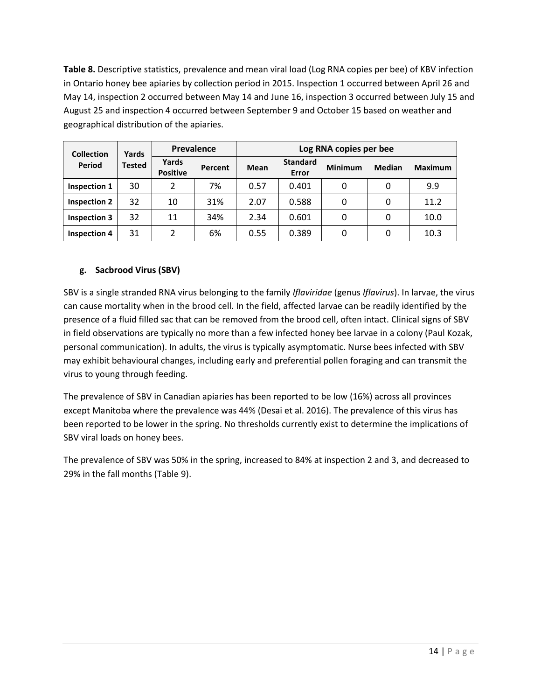**Table 8.** Descriptive statistics, prevalence and mean viral load (Log RNA copies per bee) of KBV infection in Ontario honey bee apiaries by collection period in 2015. Inspection 1 occurred between April 26 and May 14, inspection 2 occurred between May 14 and June 16, inspection 3 occurred between July 15 and August 25 and inspection 4 occurred between September 9 and October 15 based on weather and geographical distribution of the apiaries.

| <b>Collection</b>   | Yards  | Prevalence               |         | Log RNA copies per bee |                          |                |               |                |  |
|---------------------|--------|--------------------------|---------|------------------------|--------------------------|----------------|---------------|----------------|--|
| Period              | Tested | Yards<br><b>Positive</b> | Percent | <b>Mean</b>            | <b>Standard</b><br>Error | <b>Minimum</b> | <b>Median</b> | <b>Maximum</b> |  |
| Inspection 1        | 30     | 2                        | 7%      | 0.57                   | 0.401                    | 0              | 0             | 9.9            |  |
| <b>Inspection 2</b> | 32     | 10                       | 31%     | 2.07                   | 0.588                    | 0              | 0             | 11.2           |  |
| <b>Inspection 3</b> | 32     | 11                       | 34%     | 2.34                   | 0.601                    | 0              | 0             | 10.0           |  |
| <b>Inspection 4</b> | 31     | 2                        | 6%      | 0.55                   | 0.389                    | 0              | 0             | 10.3           |  |

# **g. Sacbrood Virus (SBV)**

SBV is a single stranded RNA virus belonging to the family *Iflaviridae* (genus *Iflavirus*). In larvae, the virus can cause mortality when in the brood cell. In the field, affected larvae can be readily identified by the presence of a fluid filled sac that can be removed from the brood cell, often intact. Clinical signs of SBV in field observations are typically no more than a few infected honey bee larvae in a colony (Paul Kozak, personal communication). In adults, the virus is typically asymptomatic. Nurse bees infected with SBV may exhibit behavioural changes, including early and preferential pollen foraging and can transmit the virus to young through feeding.

The prevalence of SBV in Canadian apiaries has been reported to be low (16%) across all provinces except Manitoba where the prevalence was 44% (Desai et al. 2016). The prevalence of this virus has been reported to be lower in the spring. No thresholds currently exist to determine the implications of SBV viral loads on honey bees.

The prevalence of SBV was 50% in the spring, increased to 84% at inspection 2 and 3, and decreased to 29% in the fall months (Table 9).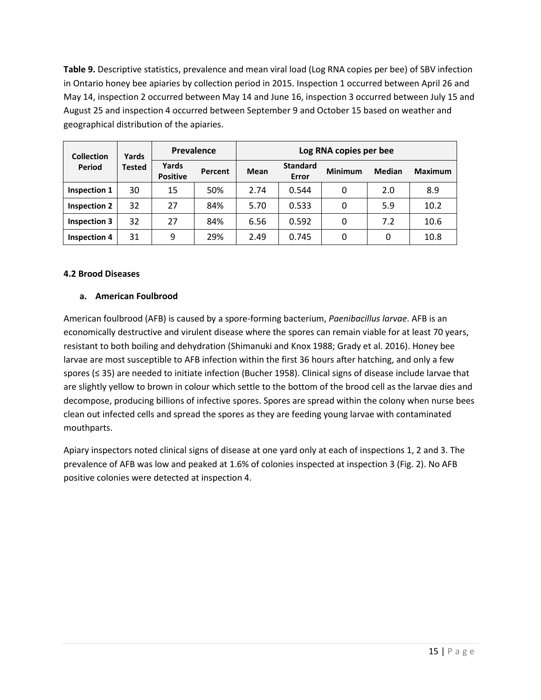**Table 9.** Descriptive statistics, prevalence and mean viral load (Log RNA copies per bee) of SBV infection in Ontario honey bee apiaries by collection period in 2015. Inspection 1 occurred between April 26 and May 14, inspection 2 occurred between May 14 and June 16, inspection 3 occurred between July 15 and August 25 and inspection 4 occurred between September 9 and October 15 based on weather and geographical distribution of the apiaries.

| <b>Collection</b>   | Yards  | Prevalence               |         | Log RNA copies per bee |                          |                |               |                |  |
|---------------------|--------|--------------------------|---------|------------------------|--------------------------|----------------|---------------|----------------|--|
| Period              | Tested | Yards<br><b>Positive</b> | Percent | Mean                   | <b>Standard</b><br>Error | <b>Minimum</b> | <b>Median</b> | <b>Maximum</b> |  |
| Inspection 1        | 30     | 15                       | 50%     | 2.74                   | 0.544                    | 0              | 2.0           | 8.9            |  |
| <b>Inspection 2</b> | 32     | 27                       | 84%     | 5.70                   | 0.533                    | 0              | 5.9           | 10.2           |  |
| <b>Inspection 3</b> | 32     | 27                       | 84%     | 6.56                   | 0.592                    | 0              | 7.2           | 10.6           |  |
| <b>Inspection 4</b> | 31     | 9                        | 29%     | 2.49                   | 0.745                    | 0              | 0             | 10.8           |  |

#### **4.2 Brood Diseases**

# **a. American Foulbrood**

American foulbrood (AFB) is caused by a spore-forming bacterium, *Paenibacillus larvae*. AFB is an economically destructive and virulent disease where the spores can remain viable for at least 70 years, resistant to both boiling and dehydration (Shimanuki and Knox 1988; Grady et al. 2016). Honey bee larvae are most susceptible to AFB infection within the first 36 hours after hatching, and only a few spores (≤ 35) are needed to initiate infection (Bucher 1958). Clinical signs of disease include larvae that are slightly yellow to brown in colour which settle to the bottom of the brood cell as the larvae dies and decompose, producing billions of infective spores. Spores are spread within the colony when nurse bees clean out infected cells and spread the spores as they are feeding young larvae with contaminated mouthparts.

Apiary inspectors noted clinical signs of disease at one yard only at each of inspections 1, 2 and 3. The prevalence of AFB was low and peaked at 1.6% of colonies inspected at inspection 3 (Fig. 2). No AFB positive colonies were detected at inspection 4.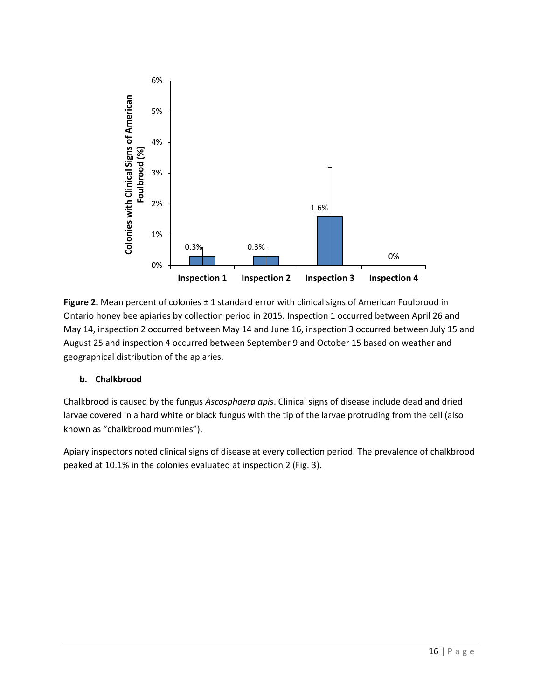

Figure 2. Mean percent of colonies ± 1 standard error with clinical signs of American Foulbrood in Ontario honey bee apiaries by collection period in 2015. Inspection 1 occurred between April 26 and May 14, inspection 2 occurred between May 14 and June 16, inspection 3 occurred between July 15 and August 25 and inspection 4 occurred between September 9 and October 15 based on weather and geographical distribution of the apiaries.

# **b. Chalkbrood**

Chalkbrood is caused by the fungus *Ascosphaera apis*. Clinical signs of disease include dead and dried larvae covered in a hard white or black fungus with the tip of the larvae protruding from the cell (also known as "chalkbrood mummies").

Apiary inspectors noted clinical signs of disease at every collection period. The prevalence of chalkbrood peaked at 10.1% in the colonies evaluated at inspection 2 (Fig. 3).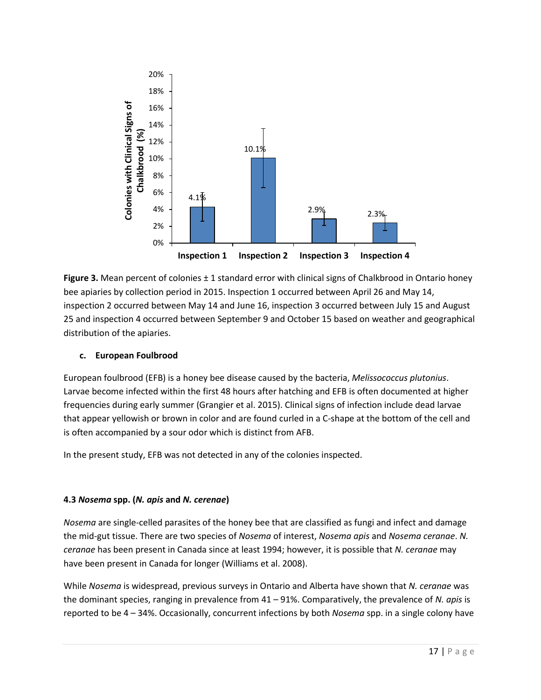

**Figure 3.** Mean percent of colonies  $\pm$  1 standard error with clinical signs of Chalkbrood in Ontario honey bee apiaries by collection period in 2015. Inspection 1 occurred between April 26 and May 14, inspection 2 occurred between May 14 and June 16, inspection 3 occurred between July 15 and August 25 and inspection 4 occurred between September 9 and October 15 based on weather and geographical distribution of the apiaries.

# **c. European Foulbrood**

European foulbrood (EFB) is a honey bee disease caused by the bacteria, *Melissococcus plutonius*. Larvae become infected within the first 48 hours after hatching and EFB is often documented at higher frequencies during early summer (Grangier et al. 2015). Clinical signs of infection include dead larvae that appear yellowish or brown in color and are found curled in a C-shape at the bottom of the cell and is often accompanied by a sour odor which is distinct from AFB.

In the present study, EFB was not detected in any of the colonies inspected.

# **4.3** *Nosema* **spp. (***N. apis* **and** *N. cerenae***)**

*Nosema* are single-celled parasites of the honey bee that are classified as fungi and infect and damage the mid-gut tissue. There are two species of *Nosema* of interest, *Nosema apis* and *Nosema ceranae*. *N. ceranae* has been present in Canada since at least 1994; however, it is possible that *N. ceranae* may have been present in Canada for longer (Williams et al. 2008).

While *Nosema* is widespread, previous surveys in Ontario and Alberta have shown that *N. ceranae* was the dominant species, ranging in prevalence from 41 – 91%. Comparatively, the prevalence of *N. apis* is reported to be 4 – 34%. Occasionally, concurrent infections by both *Nosema* spp. in a single colony have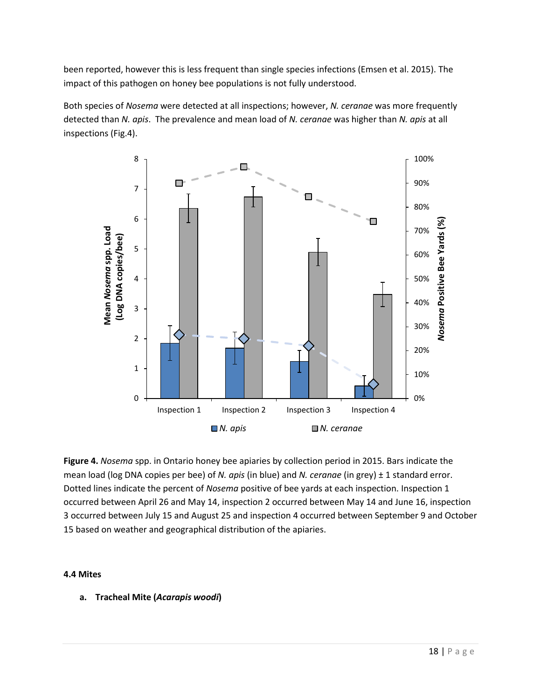been reported, however this is less frequent than single species infections (Emsen et al. 2015). The impact of this pathogen on honey bee populations is not fully understood.

Both species of *Nosema* were detected at all inspections; however, *N. ceranae* was more frequently detected than *N. apis*. The prevalence and mean load of *N. ceranae* was higher than *N. apis* at all inspections (Fig.4).



**Figure 4.** *Nosema* spp. in Ontario honey bee apiaries by collection period in 2015. Bars indicate the mean load (log DNA copies per bee) of *N. apis* (in blue) and *N. ceranae* (in grey) ± 1 standard error. Dotted lines indicate the percent of *Nosema* positive of bee yards at each inspection. Inspection 1 occurred between April 26 and May 14, inspection 2 occurred between May 14 and June 16, inspection 3 occurred between July 15 and August 25 and inspection 4 occurred between September 9 and October 15 based on weather and geographical distribution of the apiaries.

#### **4.4 Mites**

**a. Tracheal Mite (***Acarapis woodi***)**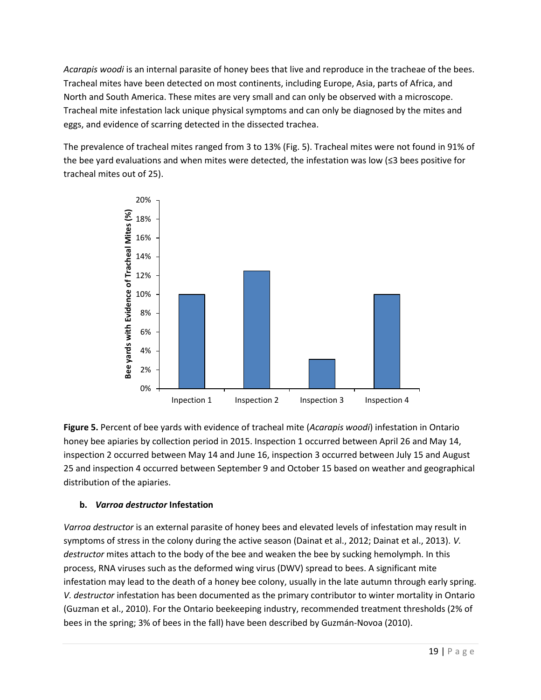*Acarapis woodi* is an internal parasite of honey bees that live and reproduce in the tracheae of the bees. Tracheal mites have been detected on most continents, including Europe, Asia, parts of Africa, and North and South America. These mites are very small and can only be observed with a microscope. Tracheal mite infestation lack unique physical symptoms and can only be diagnosed by the mites and eggs, and evidence of scarring detected in the dissected trachea.

The prevalence of tracheal mites ranged from 3 to 13% (Fig. 5). Tracheal mites were not found in 91% of the bee yard evaluations and when mites were detected, the infestation was low (≤3 bees positive for tracheal mites out of 25).



**Figure 5.** Percent of bee yards with evidence of tracheal mite (*Acarapis woodi*) infestation in Ontario honey bee apiaries by collection period in 2015. Inspection 1 occurred between April 26 and May 14, inspection 2 occurred between May 14 and June 16, inspection 3 occurred between July 15 and August 25 and inspection 4 occurred between September 9 and October 15 based on weather and geographical distribution of the apiaries.

# **b.** *Varroa destructor* **Infestation**

*Varroa destructor* is an external parasite of honey bees and elevated levels of infestation may result in symptoms of stress in the colony during the active season (Dainat et al., 2012; Dainat et al., 2013). *V. destructor* mites attach to the body of the bee and weaken the bee by sucking hemolymph. In this process, RNA viruses such as the deformed wing virus (DWV) spread to bees. A significant mite infestation may lead to the death of a honey bee colony, usually in the late autumn through early spring. *V. destructor* infestation has been documented as the primary contributor to winter mortality in Ontario (Guzman et al., 2010). For the Ontario beekeeping industry, recommended treatment thresholds (2% of bees in the spring; 3% of bees in the fall) have been described by Guzmán-Novoa (2010).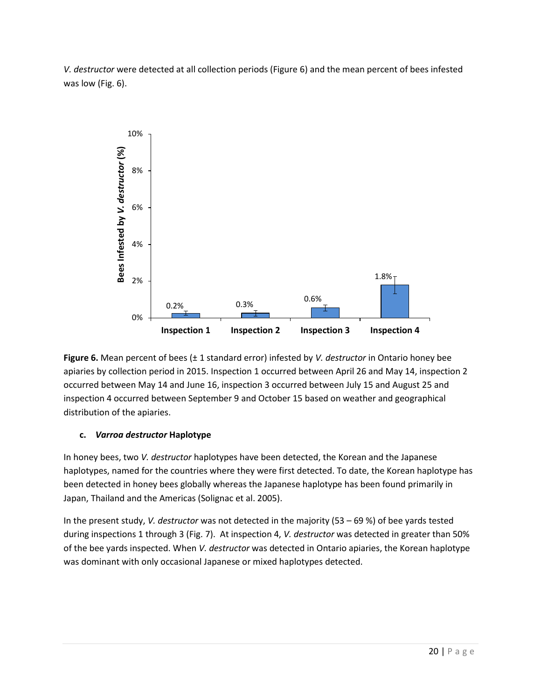*V. destructor* were detected at all collection periods (Figure 6) and the mean percent of bees infested was low (Fig. 6).



**Figure 6.** Mean percent of bees (± 1 standard error) infested by *V. destructor* in Ontario honey bee apiaries by collection period in 2015. Inspection 1 occurred between April 26 and May 14, inspection 2 occurred between May 14 and June 16, inspection 3 occurred between July 15 and August 25 and inspection 4 occurred between September 9 and October 15 based on weather and geographical distribution of the apiaries.

# **c.** *Varroa destructor* **Haplotype**

In honey bees, two *V. destructor* haplotypes have been detected, the Korean and the Japanese haplotypes, named for the countries where they were first detected. To date, the Korean haplotype has been detected in honey bees globally whereas the Japanese haplotype has been found primarily in Japan, Thailand and the Americas (Solignac et al. 2005).

In the present study, *V. destructor* was not detected in the majority (53 – 69 %) of bee yards tested during inspections 1 through 3 (Fig. 7). At inspection 4, *V. destructor* was detected in greater than 50% of the bee yards inspected. When *V. destructor* was detected in Ontario apiaries, the Korean haplotype was dominant with only occasional Japanese or mixed haplotypes detected.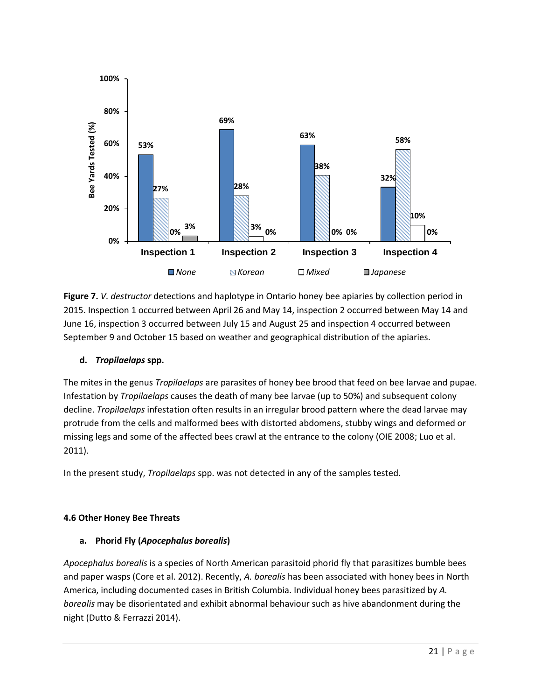

**Figure 7.** *V. destructor* detections and haplotype in Ontario honey bee apiaries by collection period in 2015. Inspection 1 occurred between April 26 and May 14, inspection 2 occurred between May 14 and June 16, inspection 3 occurred between July 15 and August 25 and inspection 4 occurred between September 9 and October 15 based on weather and geographical distribution of the apiaries.

# **d.** *Tropilaelaps* **spp.**

The mites in the genus *Tropilaelaps* are parasites of honey bee brood that feed on bee larvae and pupae. Infestation by *Tropilaelaps* causes the death of many bee larvae (up to 50%) and subsequent colony decline. *Tropilaelaps* infestation often results in an irregular brood pattern where the dead larvae may protrude from the cells and malformed bees with distorted abdomens, stubby wings and deformed or missing legs and some of the affected bees crawl at the entrance to the colony (OIE 2008; Luo et al. 2011).

In the present study, *Tropilaelaps* spp. was not detected in any of the samples tested.

# **4.6 Other Honey Bee Threats**

# **a. Phorid Fly (***Apocephalus borealis***)**

*Apocephalus borealis* is a species of North American parasitoid phorid fly that parasitizes bumble bees and paper wasps (Core et al. 2012). Recently, *A. borealis* has been associated with honey bees in North America, including documented cases in British Columbia. Individual honey bees parasitized by *A. borealis* may be disorientated and exhibit abnormal behaviour such as hive abandonment during the night (Dutto & Ferrazzi 2014).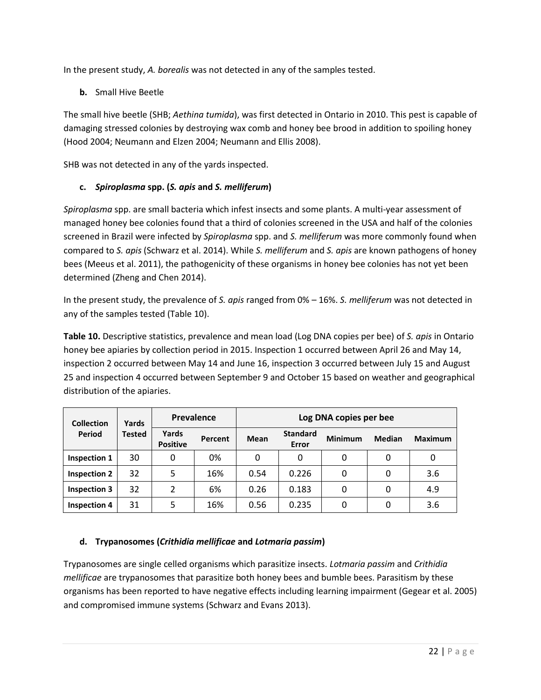In the present study, *A. borealis* was not detected in any of the samples tested.

**b.** Small Hive Beetle

The small hive beetle (SHB; *Aethina tumida*), was first detected in Ontario in 2010. This pest is capable of damaging stressed colonies by destroying wax comb and honey bee brood in addition to spoiling honey (Hood 2004; Neumann and Elzen 2004; Neumann and Ellis 2008).

SHB was not detected in any of the yards inspected.

# **c.** *Spiroplasma* **spp. (***S. apis* **and** *S. melliferum***)**

*Spiroplasma* spp. are small bacteria which infest insects and some plants. A multi-year assessment of managed honey bee colonies found that a third of colonies screened in the USA and half of the colonies screened in Brazil were infected by *Spiroplasma* spp. and *S. melliferum* was more commonly found when compared to *S. apis* (Schwarz et al. 2014). While *S. melliferum* and *S. apis* are known pathogens of honey bees (Meeus et al. 2011), the pathogenicity of these organisms in honey bee colonies has not yet been determined (Zheng and Chen 2014).

In the present study, the prevalence of *S. apis* ranged from 0% – 16%. *S. melliferum* was not detected in any of the samples tested (Table 10).

**Table 10.** Descriptive statistics, prevalence and mean load (Log DNA copies per bee) of *S. apis* in Ontario honey bee apiaries by collection period in 2015. Inspection 1 occurred between April 26 and May 14, inspection 2 occurred between May 14 and June 16, inspection 3 occurred between July 15 and August 25 and inspection 4 occurred between September 9 and October 15 based on weather and geographical distribution of the apiaries.

| <b>Collection</b>   | Yards         | <b>Prevalence</b>        |         | Log DNA copies per bee |                          |                |               |                |  |
|---------------------|---------------|--------------------------|---------|------------------------|--------------------------|----------------|---------------|----------------|--|
| Period              | <b>Tested</b> | Yards<br><b>Positive</b> | Percent | Mean                   | <b>Standard</b><br>Error | <b>Minimum</b> | <b>Median</b> | <b>Maximum</b> |  |
| Inspection 1        | 30            | 0                        | 0%      | 0                      | 0                        | 0              | 0             | 0              |  |
| <b>Inspection 2</b> | 32            | 5                        | 16%     | 0.54                   | 0.226                    | 0              | 0             | 3.6            |  |
| <b>Inspection 3</b> | 32            | 2                        | 6%      | 0.26                   | 0.183                    | 0              | 0             | 4.9            |  |
| <b>Inspection 4</b> | 31            | 5                        | 16%     | 0.56                   | 0.235                    | 0              | 0             | 3.6            |  |

# **d. Trypanosomes (***Crithidia mellificae* **and** *Lotmaria passim***)**

Trypanosomes are single celled organisms which parasitize insects. *Lotmaria passim* and *Crithidia mellificae* are trypanosomes that parasitize both honey bees and bumble bees. Parasitism by these organisms has been reported to have negative effects including learning impairment (Gegear et al. 2005) and compromised immune systems (Schwarz and Evans 2013).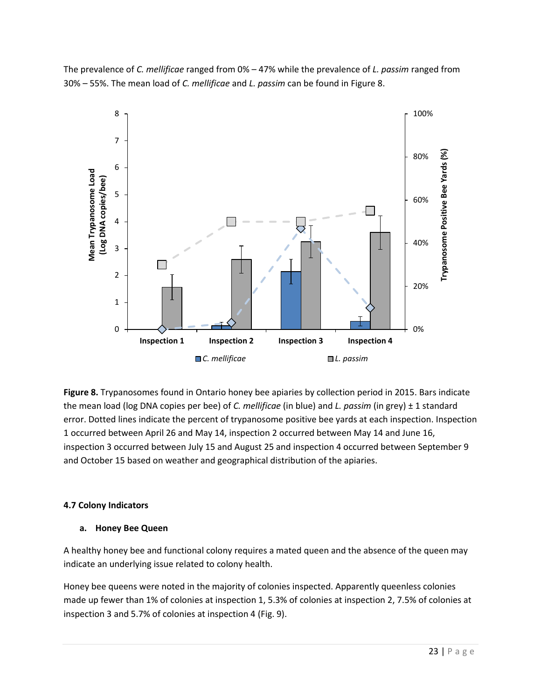The prevalence of *C. mellificae* ranged from 0% – 47% while the prevalence of *L. passim* ranged from 30% – 55%. The mean load of *C. mellificae* and *L. passim* can be found in Figure 8.



**Figure 8.** Trypanosomes found in Ontario honey bee apiaries by collection period in 2015. Bars indicate the mean load (log DNA copies per bee) of *C. mellificae* (in blue) and *L. passim* (in grey) ± 1 standard error. Dotted lines indicate the percent of trypanosome positive bee yards at each inspection. Inspection 1 occurred between April 26 and May 14, inspection 2 occurred between May 14 and June 16, inspection 3 occurred between July 15 and August 25 and inspection 4 occurred between September 9 and October 15 based on weather and geographical distribution of the apiaries.

# **4.7 Colony Indicators**

# **a. Honey Bee Queen**

A healthy honey bee and functional colony requires a mated queen and the absence of the queen may indicate an underlying issue related to colony health.

Honey bee queens were noted in the majority of colonies inspected. Apparently queenless colonies made up fewer than 1% of colonies at inspection 1, 5.3% of colonies at inspection 2, 7.5% of colonies at inspection 3 and 5.7% of colonies at inspection 4 (Fig. 9).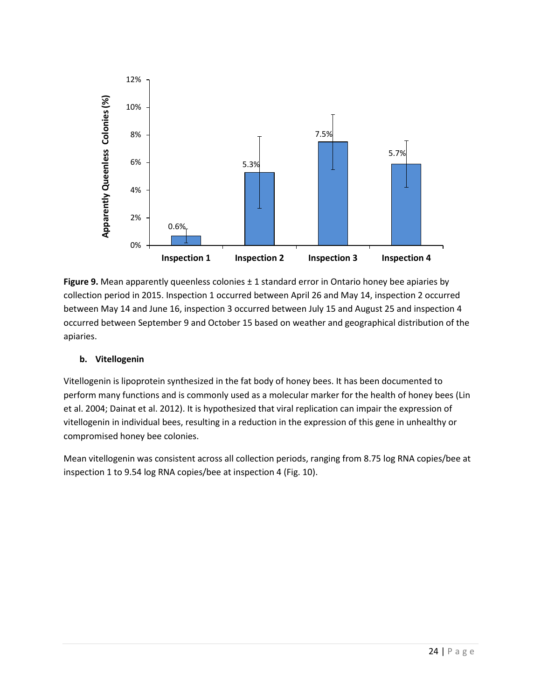

**Figure 9.** Mean apparently queenless colonies ± 1 standard error in Ontario honey bee apiaries by collection period in 2015. Inspection 1 occurred between April 26 and May 14, inspection 2 occurred between May 14 and June 16, inspection 3 occurred between July 15 and August 25 and inspection 4 occurred between September 9 and October 15 based on weather and geographical distribution of the apiaries.

# **b. Vitellogenin**

Vitellogenin is lipoprotein synthesized in the fat body of honey bees. It has been documented to perform many functions and is commonly used as a molecular marker for the health of honey bees (Lin et al. 2004; Dainat et al. 2012). It is hypothesized that viral replication can impair the expression of vitellogenin in individual bees, resulting in a reduction in the expression of this gene in unhealthy or compromised honey bee colonies.

Mean vitellogenin was consistent across all collection periods, ranging from 8.75 log RNA copies/bee at inspection 1 to 9.54 log RNA copies/bee at inspection 4 (Fig. 10).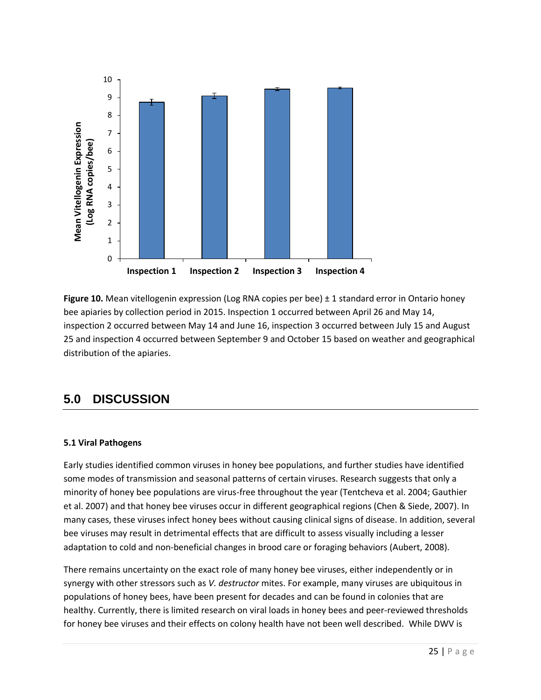

**Figure 10.** Mean vitellogenin expression (Log RNA copies per bee)  $\pm$  1 standard error in Ontario honey bee apiaries by collection period in 2015. Inspection 1 occurred between April 26 and May 14, inspection 2 occurred between May 14 and June 16, inspection 3 occurred between July 15 and August 25 and inspection 4 occurred between September 9 and October 15 based on weather and geographical distribution of the apiaries.

# **5.0 DISCUSSION**

# **5.1 Viral Pathogens**

Early studies identified common viruses in honey bee populations, and further studies have identified some modes of transmission and seasonal patterns of certain viruses. Research suggests that only a minority of honey bee populations are virus-free throughout the year (Tentcheva et al. 2004; Gauthier et al. 2007) and that honey bee viruses occur in different geographical regions (Chen & Siede, 2007). In many cases, these viruses infect honey bees without causing clinical signs of disease. In addition, several bee viruses may result in detrimental effects that are difficult to assess visually including a lesser adaptation to cold and non-beneficial changes in brood care or foraging behaviors (Aubert, 2008).

There remains uncertainty on the exact role of many honey bee viruses, either independently or in synergy with other stressors such as *V. destructor* mites. For example, many viruses are ubiquitous in populations of honey bees, have been present for decades and can be found in colonies that are healthy. Currently, there is limited research on viral loads in honey bees and peer-reviewed thresholds for honey bee viruses and their effects on colony health have not been well described. While DWV is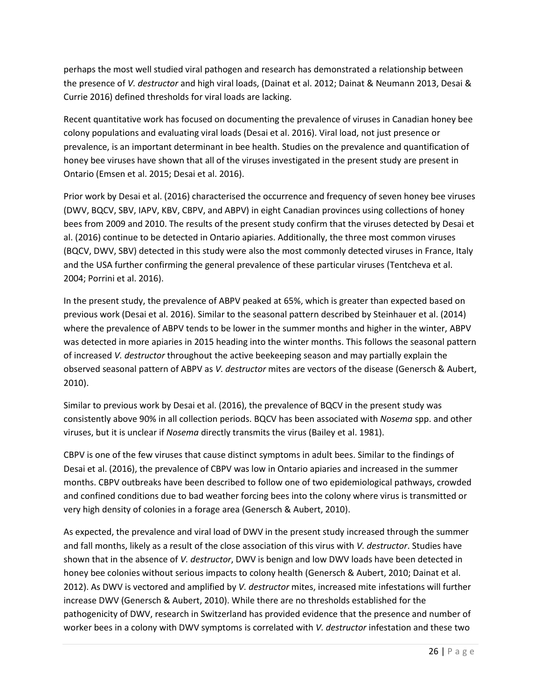perhaps the most well studied viral pathogen and research has demonstrated a relationship between the presence of *V. destructor* and high viral loads, (Dainat et al. 2012; Dainat & Neumann 2013, Desai & Currie 2016) defined thresholds for viral loads are lacking.

Recent quantitative work has focused on documenting the prevalence of viruses in Canadian honey bee colony populations and evaluating viral loads (Desai et al. 2016). Viral load, not just presence or prevalence, is an important determinant in bee health. Studies on the prevalence and quantification of honey bee viruses have shown that all of the viruses investigated in the present study are present in Ontario (Emsen et al. 2015; Desai et al. 2016).

Prior work by Desai et al. (2016) characterised the occurrence and frequency of seven honey bee viruses (DWV, BQCV, SBV, IAPV, KBV, CBPV, and ABPV) in eight Canadian provinces using collections of honey bees from 2009 and 2010. The results of the present study confirm that the viruses detected by Desai et al. (2016) continue to be detected in Ontario apiaries. Additionally, the three most common viruses (BQCV, DWV, SBV) detected in this study were also the most commonly detected viruses in France, Italy and the USA further confirming the general prevalence of these particular viruses (Tentcheva et al. 2004; Porrini et al. 2016).

In the present study, the prevalence of ABPV peaked at 65%, which is greater than expected based on previous work (Desai et al. 2016). Similar to the seasonal pattern described by Steinhauer et al. (2014) where the prevalence of ABPV tends to be lower in the summer months and higher in the winter, ABPV was detected in more apiaries in 2015 heading into the winter months. This follows the seasonal pattern of increased *V. destructor* throughout the active beekeeping season and may partially explain the observed seasonal pattern of ABPV as *V. destructor* mites are vectors of the disease (Genersch & Aubert, 2010).

Similar to previous work by Desai et al. (2016), the prevalence of BQCV in the present study was consistently above 90% in all collection periods. BQCV has been associated with *Nosema* spp. and other viruses, but it is unclear if *Nosema* directly transmits the virus (Bailey et al. 1981).

CBPV is one of the few viruses that cause distinct symptoms in adult bees. Similar to the findings of Desai et al. (2016), the prevalence of CBPV was low in Ontario apiaries and increased in the summer months. CBPV outbreaks have been described to follow one of two epidemiological pathways, crowded and confined conditions due to bad weather forcing bees into the colony where virus is transmitted or very high density of colonies in a forage area (Genersch & Aubert, 2010).

As expected, the prevalence and viral load of DWV in the present study increased through the summer and fall months, likely as a result of the close association of this virus with *V. destructor*. Studies have shown that in the absence of *V. destructor*, DWV is benign and low DWV loads have been detected in honey bee colonies without serious impacts to colony health (Genersch & Aubert, 2010; Dainat et al. 2012). As DWV is vectored and amplified by *V. destructor* mites, increased mite infestations will further increase DWV (Genersch & Aubert, 2010). While there are no thresholds established for the pathogenicity of DWV, research in Switzerland has provided evidence that the presence and number of worker bees in a colony with DWV symptoms is correlated with *V. destructor* infestation and these two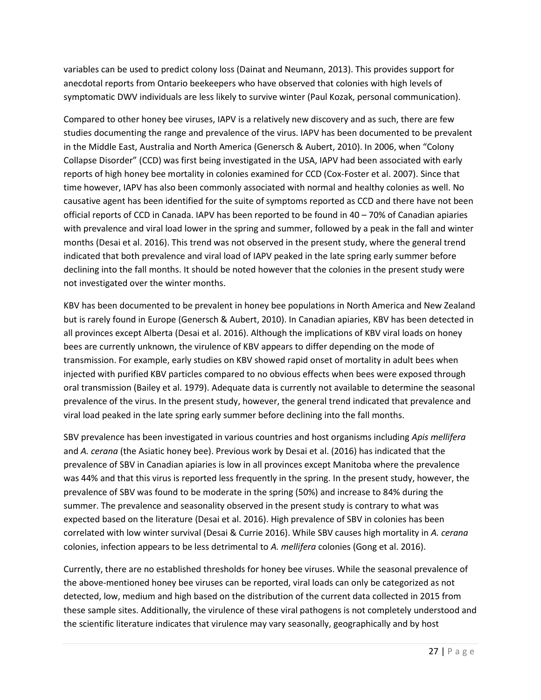variables can be used to predict colony loss (Dainat and Neumann, 2013). This provides support for anecdotal reports from Ontario beekeepers who have observed that colonies with high levels of symptomatic DWV individuals are less likely to survive winter (Paul Kozak, personal communication).

Compared to other honey bee viruses, IAPV is a relatively new discovery and as such, there are few studies documenting the range and prevalence of the virus. IAPV has been documented to be prevalent in the Middle East, Australia and North America (Genersch & Aubert, 2010). In 2006, when "Colony Collapse Disorder" (CCD) was first being investigated in the USA, IAPV had been associated with early reports of high honey bee mortality in colonies examined for CCD (Cox-Foster et al. 2007). Since that time however, IAPV has also been commonly associated with normal and healthy colonies as well. No causative agent has been identified for the suite of symptoms reported as CCD and there have not been official reports of CCD in Canada. IAPV has been reported to be found in 40 – 70% of Canadian apiaries with prevalence and viral load lower in the spring and summer, followed by a peak in the fall and winter months (Desai et al. 2016). This trend was not observed in the present study, where the general trend indicated that both prevalence and viral load of IAPV peaked in the late spring early summer before declining into the fall months. It should be noted however that the colonies in the present study were not investigated over the winter months.

KBV has been documented to be prevalent in honey bee populations in North America and New Zealand but is rarely found in Europe (Genersch & Aubert, 2010). In Canadian apiaries, KBV has been detected in all provinces except Alberta (Desai et al. 2016). Although the implications of KBV viral loads on honey bees are currently unknown, the virulence of KBV appears to differ depending on the mode of transmission. For example, early studies on KBV showed rapid onset of mortality in adult bees when injected with purified KBV particles compared to no obvious effects when bees were exposed through oral transmission (Bailey et al. 1979). Adequate data is currently not available to determine the seasonal prevalence of the virus. In the present study, however, the general trend indicated that prevalence and viral load peaked in the late spring early summer before declining into the fall months.

SBV prevalence has been investigated in various countries and host organisms including *Apis mellifera* and *A. cerana* (the Asiatic honey bee). Previous work by Desai et al. (2016) has indicated that the prevalence of SBV in Canadian apiaries is low in all provinces except Manitoba where the prevalence was 44% and that this virus is reported less frequently in the spring. In the present study, however, the prevalence of SBV was found to be moderate in the spring (50%) and increase to 84% during the summer. The prevalence and seasonality observed in the present study is contrary to what was expected based on the literature (Desai et al. 2016). High prevalence of SBV in colonies has been correlated with low winter survival (Desai & Currie 2016). While SBV causes high mortality in *A. cerana* colonies, infection appears to be less detrimental to *A. mellifera* colonies (Gong et al. 2016).

Currently, there are no established thresholds for honey bee viruses. While the seasonal prevalence of the above-mentioned honey bee viruses can be reported, viral loads can only be categorized as not detected, low, medium and high based on the distribution of the current data collected in 2015 from these sample sites. Additionally, the virulence of these viral pathogens is not completely understood and the scientific literature indicates that virulence may vary seasonally, geographically and by host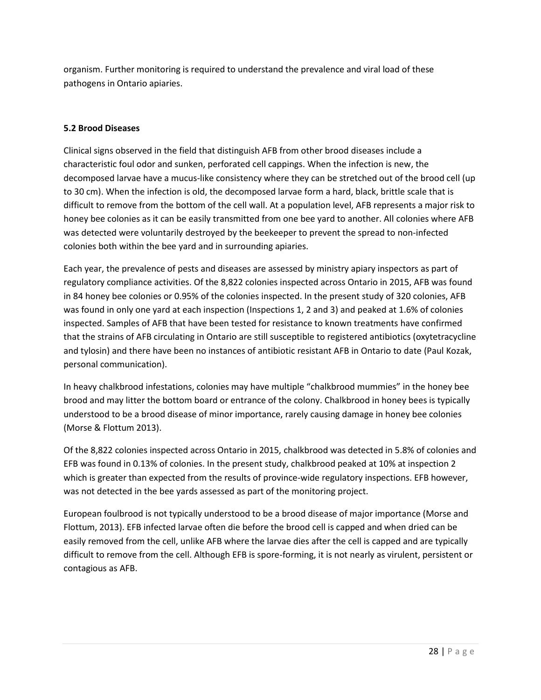organism. Further monitoring is required to understand the prevalence and viral load of these pathogens in Ontario apiaries.

#### **5.2 Brood Diseases**

Clinical signs observed in the field that distinguish AFB from other brood diseases include a characteristic foul odor and sunken, perforated cell cappings. When the infection is new, the decomposed larvae have a mucus-like consistency where they can be stretched out of the brood cell (up to 30 cm). When the infection is old, the decomposed larvae form a hard, black, brittle scale that is difficult to remove from the bottom of the cell wall. At a population level, AFB represents a major risk to honey bee colonies as it can be easily transmitted from one bee yard to another. All colonies where AFB was detected were voluntarily destroyed by the beekeeper to prevent the spread to non-infected colonies both within the bee yard and in surrounding apiaries.

Each year, the prevalence of pests and diseases are assessed by ministry apiary inspectors as part of regulatory compliance activities. Of the 8,822 colonies inspected across Ontario in 2015, AFB was found in 84 honey bee colonies or 0.95% of the colonies inspected. In the present study of 320 colonies, AFB was found in only one yard at each inspection (Inspections 1, 2 and 3) and peaked at 1.6% of colonies inspected. Samples of AFB that have been tested for resistance to known treatments have confirmed that the strains of AFB circulating in Ontario are still susceptible to registered antibiotics (oxytetracycline and tylosin) and there have been no instances of antibiotic resistant AFB in Ontario to date (Paul Kozak, personal communication).

In heavy chalkbrood infestations, colonies may have multiple "chalkbrood mummies" in the honey bee brood and may litter the bottom board or entrance of the colony. Chalkbrood in honey bees is typically understood to be a brood disease of minor importance, rarely causing damage in honey bee colonies (Morse & Flottum 2013).

Of the 8,822 colonies inspected across Ontario in 2015, chalkbrood was detected in 5.8% of colonies and EFB was found in 0.13% of colonies. In the present study, chalkbrood peaked at 10% at inspection 2 which is greater than expected from the results of province-wide regulatory inspections. EFB however, was not detected in the bee yards assessed as part of the monitoring project.

European foulbrood is not typically understood to be a brood disease of major importance (Morse and Flottum, 2013). EFB infected larvae often die before the brood cell is capped and when dried can be easily removed from the cell, unlike AFB where the larvae dies after the cell is capped and are typically difficult to remove from the cell. Although EFB is spore-forming, it is not nearly as virulent, persistent or contagious as AFB.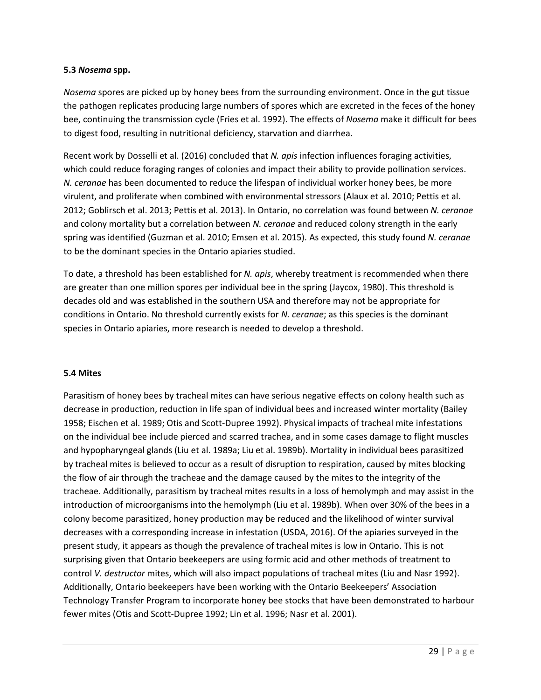#### **5.3** *Nosema* **spp.**

*Nosema* spores are picked up by honey bees from the surrounding environment. Once in the gut tissue the pathogen replicates producing large numbers of spores which are excreted in the feces of the honey bee, continuing the transmission cycle (Fries et al. 1992). The effects of *Nosema* make it difficult for bees to digest food, resulting in nutritional deficiency, starvation and diarrhea.

Recent work by Dosselli et al. (2016) concluded that *N. apis* infection influences foraging activities, which could reduce foraging ranges of colonies and impact their ability to provide pollination services. *N. ceranae* has been documented to reduce the lifespan of individual worker honey bees, be more virulent, and proliferate when combined with environmental stressors (Alaux et al. 2010; Pettis et al. 2012; Goblirsch et al. 2013; Pettis et al. 2013). In Ontario, no correlation was found between *N. ceranae* and colony mortality but a correlation between *N. ceranae* and reduced colony strength in the early spring was identified (Guzman et al. 2010; Emsen et al. 2015). As expected, this study found *N. ceranae* to be the dominant species in the Ontario apiaries studied.

To date, a threshold has been established for *N. apis*, whereby treatment is recommended when there are greater than one million spores per individual bee in the spring (Jaycox, 1980). This threshold is decades old and was established in the southern USA and therefore may not be appropriate for conditions in Ontario. No threshold currently exists for *N. ceranae*; as this species is the dominant species in Ontario apiaries, more research is needed to develop a threshold.

#### **5.4 Mites**

Parasitism of honey bees by tracheal mites can have serious negative effects on colony health such as decrease in production, reduction in life span of individual bees and increased winter mortality (Bailey 1958; Eischen et al. 1989; Otis and Scott-Dupree 1992). Physical impacts of tracheal mite infestations on the individual bee include pierced and scarred trachea, and in some cases damage to flight muscles and hypopharyngeal glands (Liu et al. 1989a; Liu et al. 1989b). Mortality in individual bees parasitized by tracheal mites is believed to occur as a result of disruption to respiration, caused by mites blocking the flow of air through the tracheae and the damage caused by the mites to the integrity of the tracheae. Additionally, parasitism by tracheal mites results in a loss of hemolymph and may assist in the introduction of microorganisms into the hemolymph (Liu et al. 1989b). When over 30% of the bees in a colony become parasitized, honey production may be reduced and the likelihood of winter survival decreases with a corresponding increase in infestation (USDA, 2016). Of the apiaries surveyed in the present study, it appears as though the prevalence of tracheal mites is low in Ontario. This is not surprising given that Ontario beekeepers are using formic acid and other methods of treatment to control *V. destructor* mites, which will also impact populations of tracheal mites (Liu and Nasr 1992). Additionally, Ontario beekeepers have been working with the Ontario Beekeepers' Association Technology Transfer Program to incorporate honey bee stocks that have been demonstrated to harbour fewer mites (Otis and Scott-Dupree 1992; Lin et al. 1996; Nasr et al. 2001).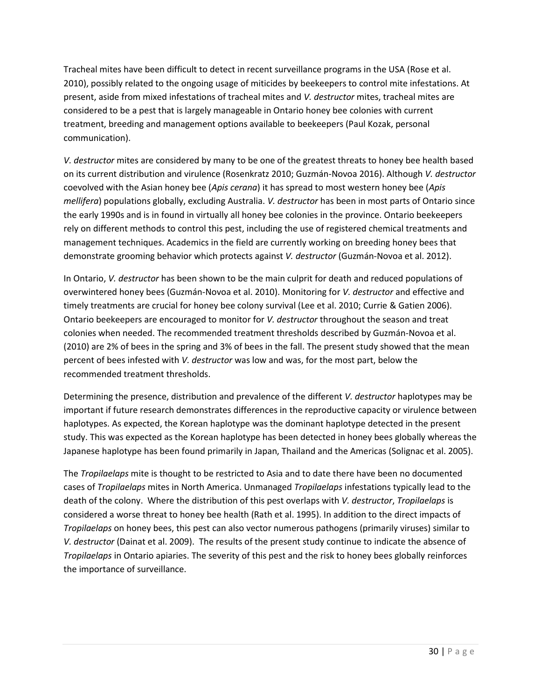Tracheal mites have been difficult to detect in recent surveillance programs in the USA (Rose et al. 2010), possibly related to the ongoing usage of miticides by beekeepers to control mite infestations. At present, aside from mixed infestations of tracheal mites and *V. destructor* mites, tracheal mites are considered to be a pest that is largely manageable in Ontario honey bee colonies with current treatment, breeding and management options available to beekeepers (Paul Kozak, personal communication).

*V. destructor* mites are considered by many to be one of the greatest threats to honey bee health based on its current distribution and virulence (Rosenkratz 2010; Guzmán-Novoa 2016). Although *V. destructor*  coevolved with the Asian honey bee (*Apis cerana*) it has spread to most western honey bee (*Apis mellifera*) populations globally, excluding Australia. *V. destructor* has been in most parts of Ontario since the early 1990s and is in found in virtually all honey bee colonies in the province. Ontario beekeepers rely on different methods to control this pest, including the use of registered chemical treatments and management techniques. Academics in the field are currently working on breeding honey bees that demonstrate grooming behavior which protects against *V. destructor* (Guzmán-Novoa et al. 2012).

In Ontario, *V. destructor* has been shown to be the main culprit for death and reduced populations of overwintered honey bees (Guzmán-Novoa et al. 2010). Monitoring for *V. destructor* and effective and timely treatments are crucial for honey bee colony survival (Lee et al. 2010; Currie & Gatien 2006). Ontario beekeepers are encouraged to monitor for *V. destructor* throughout the season and treat colonies when needed. The recommended treatment thresholds described by Guzmán-Novoa et al. (2010) are 2% of bees in the spring and 3% of bees in the fall. The present study showed that the mean percent of bees infested with *V. destructor* was low and was, for the most part, below the recommended treatment thresholds.

Determining the presence, distribution and prevalence of the different *V. destructor* haplotypes may be important if future research demonstrates differences in the reproductive capacity or virulence between haplotypes. As expected, the Korean haplotype was the dominant haplotype detected in the present study. This was expected as the Korean haplotype has been detected in honey bees globally whereas the Japanese haplotype has been found primarily in Japan, Thailand and the Americas (Solignac et al. 2005).

The *Tropilaelaps* mite is thought to be restricted to Asia and to date there have been no documented cases of *Tropilaelaps* mites in North America. Unmanaged *Tropilaelaps* infestations typically lead to the death of the colony. Where the distribution of this pest overlaps with *V. destructor*, *Tropilaelaps* is considered a worse threat to honey bee health (Rath et al. 1995). In addition to the direct impacts of *Tropilaelaps* on honey bees, this pest can also vector numerous pathogens (primarily viruses) similar to *V. destructor* (Dainat et al. 2009). The results of the present study continue to indicate the absence of *Tropilaelaps* in Ontario apiaries. The severity of this pest and the risk to honey bees globally reinforces the importance of surveillance.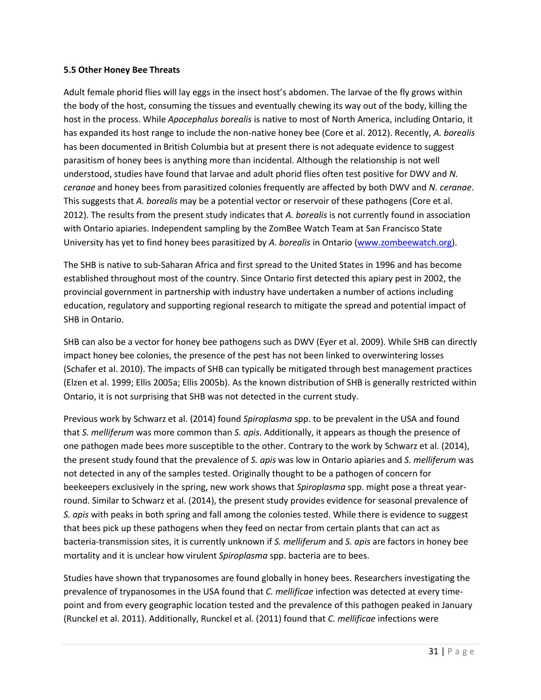#### **5.5 Other Honey Bee Threats**

Adult female phorid flies will lay eggs in the insect host's abdomen. The larvae of the fly grows within the body of the host, consuming the tissues and eventually chewing its way out of the body, killing the host in the process. While *Apocephalus borealis* is native to most of North America, including Ontario, it has expanded its host range to include the non-native honey bee (Core et al. 2012). Recently, *A. borealis* has been documented in British Columbia but at present there is not adequate evidence to suggest parasitism of honey bees is anything more than incidental. Although the relationship is not well understood, studies have found that larvae and adult phorid flies often test positive for DWV and *N. ceranae* and honey bees from parasitized colonies frequently are affected by both DWV and *N. ceranae*. This suggests that *A. borealis* may be a potential vector or reservoir of these pathogens (Core et al. 2012). The results from the present study indicates that *A. borealis* is not currently found in association with Ontario apiaries. Independent sampling by the ZomBee Watch Team at San Francisco State University has yet to find honey bees parasitized by *A. borealis* in Ontario [\(www.zombeewatch.org\)](http://www.zombeewatch.org/).

The SHB is native to sub-Saharan Africa and first spread to the United States in 1996 and has become established throughout most of the country. Since Ontario first detected this apiary pest in 2002, the provincial government in partnership with industry have undertaken a number of actions including education, regulatory and supporting regional research to mitigate the spread and potential impact of SHB in Ontario.

SHB can also be a vector for honey bee pathogens such as DWV (Eyer et al. 2009). While SHB can directly impact honey bee colonies, the presence of the pest has not been linked to overwintering losses (Schafer et al. 2010). The impacts of SHB can typically be mitigated through best management practices (Elzen et al. 1999; Ellis 2005a; Ellis 2005b). As the known distribution of SHB is generally restricted within Ontario, it is not surprising that SHB was not detected in the current study.

Previous work by Schwarz et al. (2014) found *Spiroplasma* spp. to be prevalent in the USA and found that *S. melliferum* was more common than *S. apis*. Additionally, it appears as though the presence of one pathogen made bees more susceptible to the other. Contrary to the work by Schwarz et al. (2014), the present study found that the prevalence of *S. apis* was low in Ontario apiaries and *S. melliferum* was not detected in any of the samples tested. Originally thought to be a pathogen of concern for beekeepers exclusively in the spring, new work shows that *Spiroplasma* spp. might pose a threat yearround. Similar to Schwarz et al. (2014), the present study provides evidence for seasonal prevalence of *S. apis* with peaks in both spring and fall among the colonies tested. While there is evidence to suggest that bees pick up these pathogens when they feed on nectar from certain plants that can act as bacteria-transmission sites, it is currently unknown if *S. melliferum* and *S. apis* are factors in honey bee mortality and it is unclear how virulent *Spiroplasma* spp. bacteria are to bees.

Studies have shown that trypanosomes are found globally in honey bees. Researchers investigating the prevalence of trypanosomes in the USA found that *C. mellificae* infection was detected at every timepoint and from every geographic location tested and the prevalence of this pathogen peaked in January (Runckel et al. 2011). Additionally, Runckel et al. (2011) found that *C. mellificae* infections were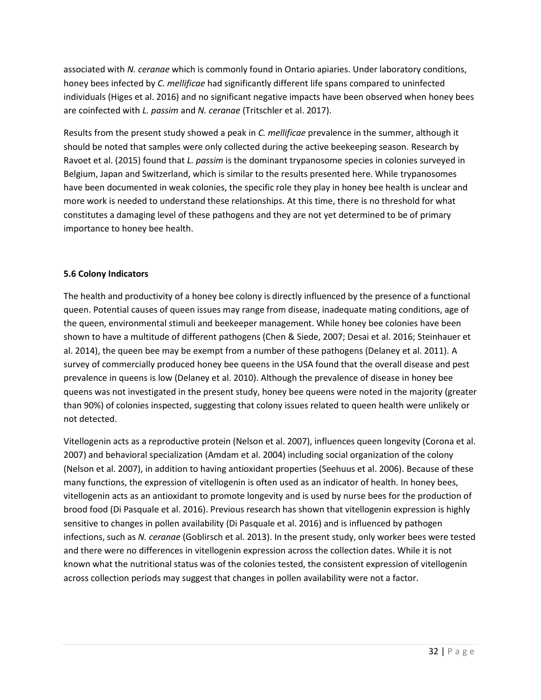associated with *N. ceranae* which is commonly found in Ontario apiaries. Under laboratory conditions, honey bees infected by *C. mellificae* had significantly different life spans compared to uninfected individuals (Higes et al. 2016) and no significant negative impacts have been observed when honey bees are coinfected with *L. passim* and *N. ceranae* (Tritschler et al. 2017).

Results from the present study showed a peak in *C. mellificae* prevalence in the summer, although it should be noted that samples were only collected during the active beekeeping season. Research by Ravoet et al. (2015) found that *L. passim* is the dominant trypanosome species in colonies surveyed in Belgium, Japan and Switzerland, which is similar to the results presented here. While trypanosomes have been documented in weak colonies, the specific role they play in honey bee health is unclear and more work is needed to understand these relationships. At this time, there is no threshold for what constitutes a damaging level of these pathogens and they are not yet determined to be of primary importance to honey bee health.

#### **5.6 Colony Indicators**

The health and productivity of a honey bee colony is directly influenced by the presence of a functional queen. Potential causes of queen issues may range from disease, inadequate mating conditions, age of the queen, environmental stimuli and beekeeper management. While honey bee colonies have been shown to have a multitude of different pathogens (Chen & Siede, 2007; Desai et al. 2016; Steinhauer et al. 2014), the queen bee may be exempt from a number of these pathogens (Delaney et al. 2011). A survey of commercially produced honey bee queens in the USA found that the overall disease and pest prevalence in queens is low (Delaney et al. 2010). Although the prevalence of disease in honey bee queens was not investigated in the present study, honey bee queens were noted in the majority (greater than 90%) of colonies inspected, suggesting that colony issues related to queen health were unlikely or not detected.

Vitellogenin acts as a reproductive protein (Nelson et al. 2007), influences queen longevity (Corona et al. 2007) and behavioral specialization (Amdam et al. 2004) including social organization of the colony (Nelson et al. 2007), in addition to having antioxidant properties (Seehuus et al. 2006). Because of these many functions, the expression of vitellogenin is often used as an indicator of health. In honey bees, vitellogenin acts as an antioxidant to promote longevity and is used by nurse bees for the production of brood food (Di Pasquale et al. 2016). Previous research has shown that vitellogenin expression is highly sensitive to changes in pollen availability (Di Pasquale et al. 2016) and is influenced by pathogen infections, such as *N. ceranae* (Goblirsch et al. 2013). In the present study, only worker bees were tested and there were no differences in vitellogenin expression across the collection dates. While it is not known what the nutritional status was of the colonies tested, the consistent expression of vitellogenin across collection periods may suggest that changes in pollen availability were not a factor.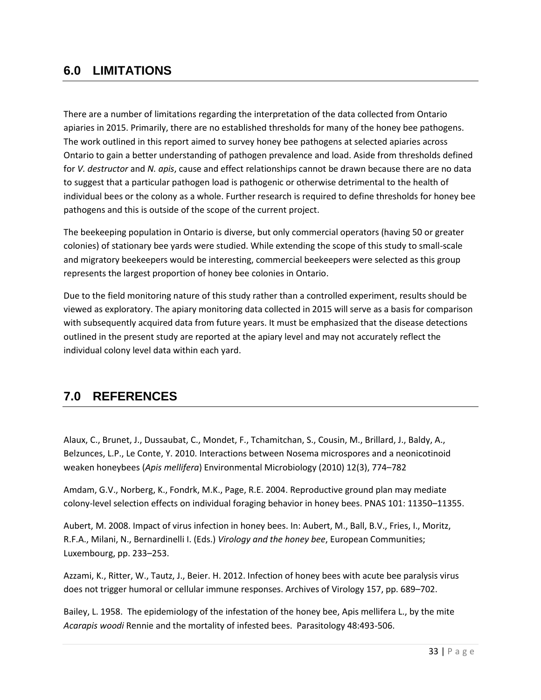# **6.0 LIMITATIONS**

There are a number of limitations regarding the interpretation of the data collected from Ontario apiaries in 2015. Primarily, there are no established thresholds for many of the honey bee pathogens. The work outlined in this report aimed to survey honey bee pathogens at selected apiaries across Ontario to gain a better understanding of pathogen prevalence and load. Aside from thresholds defined for *V. destructor* and *N. apis*, cause and effect relationships cannot be drawn because there are no data to suggest that a particular pathogen load is pathogenic or otherwise detrimental to the health of individual bees or the colony as a whole. Further research is required to define thresholds for honey bee pathogens and this is outside of the scope of the current project.

The beekeeping population in Ontario is diverse, but only commercial operators (having 50 or greater colonies) of stationary bee yards were studied. While extending the scope of this study to small-scale and migratory beekeepers would be interesting, commercial beekeepers were selected as this group represents the largest proportion of honey bee colonies in Ontario.

Due to the field monitoring nature of this study rather than a controlled experiment, results should be viewed as exploratory. The apiary monitoring data collected in 2015 will serve as a basis for comparison with subsequently acquired data from future years. It must be emphasized that the disease detections outlined in the present study are reported at the apiary level and may not accurately reflect the individual colony level data within each yard.

# **7.0 REFERENCES**

Alaux, C., Brunet, J., Dussaubat, C., Mondet, F., Tchamitchan, S., Cousin, M., Brillard, J., Baldy, A., Belzunces, L.P., Le Conte, Y. 2010. Interactions between Nosema microspores and a neonicotinoid weaken honeybees (*Apis mellifera*) Environmental Microbiology (2010) 12(3), 774–782

Amdam, G.V., Norberg, K., Fondrk, M.K., Page, R.E. 2004. Reproductive ground plan may mediate colony-level selection effects on individual foraging behavior in honey bees. PNAS 101: 11350–11355.

Aubert, M. 2008. Impact of virus infection in honey bees. In: Aubert, M., Ball, B.V., Fries, I., Moritz, R.F.A., Milani, N., Bernardinelli I. (Eds.) *Virology and the honey bee*, European Communities; Luxembourg, pp. 233–253.

Azzami, K., Ritter, W., Tautz, J., Beier. H. 2012. Infection of honey bees with acute bee paralysis virus does not trigger humoral or cellular immune responses. Archives of Virology 157, pp. 689–702.

Bailey, L. 1958. The epidemiology of the infestation of the honey bee, Apis mellifera L., by the mite *Acarapis woodi* Rennie and the mortality of infested bees. Parasitology 48:493-506.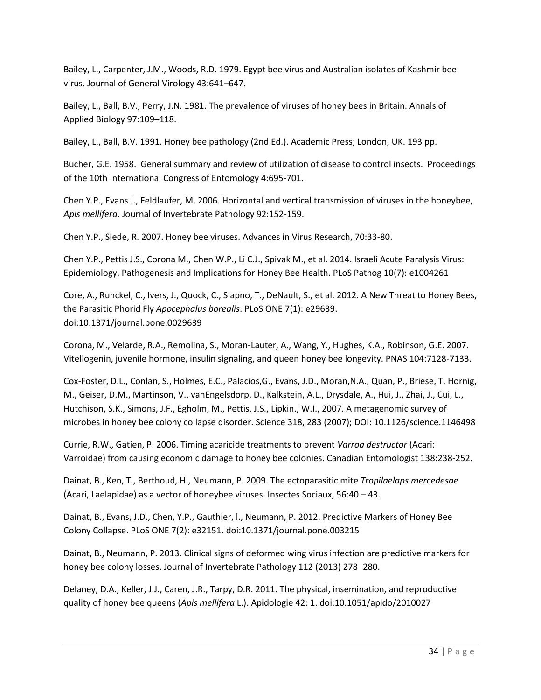Bailey, L., Carpenter, J.M., Woods, R.D. 1979. Egypt bee virus and Australian isolates of Kashmir bee virus. Journal of General Virology 43:641–647.

Bailey, L., Ball, B.V., Perry, J.N. 1981. The prevalence of viruses of honey bees in Britain. Annals of Applied Biology 97:109–118.

Bailey, L., Ball, B.V. 1991. Honey bee pathology (2nd Ed.). Academic Press; London, UK. 193 pp.

Bucher, G.E. 1958. General summary and review of utilization of disease to control insects. Proceedings of the 10th International Congress of Entomology 4:695-701.

Chen Y.P., Evans J., Feldlaufer, M. 2006. Horizontal and vertical transmission of viruses in the honeybee, *Apis mellifera*. Journal of Invertebrate Pathology 92:152-159.

Chen Y.P., Siede, R. 2007. Honey bee viruses. Advances in Virus Research, 70:33-80.

Chen Y.P., Pettis J.S., Corona M., Chen W.P., Li C.J., Spivak M., et al. 2014. Israeli Acute Paralysis Virus: Epidemiology, Pathogenesis and Implications for Honey Bee Health. PLoS Pathog 10(7): e1004261

Core, A., Runckel, C., Ivers, J., Quock, C., Siapno, T., DeNault, S., et al. 2012. A New Threat to Honey Bees, the Parasitic Phorid Fly *Apocephalus borealis*. PLoS ONE 7(1): e29639. doi:10.1371/journal.pone.0029639

Corona, M., Velarde, R.A., Remolina, S., Moran-Lauter, A., Wang, Y., Hughes, K.A., Robinson, G.E. 2007. Vitellogenin, juvenile hormone, insulin signaling, and queen honey bee longevity. PNAS 104:7128-7133.

Cox-Foster, D.L., Conlan, S., Holmes, E.C., Palacios,G., Evans, J.D., Moran,N.A., Quan, P., Briese, T. Hornig, M., Geiser, D.M., Martinson, V., vanEngelsdorp, D., Kalkstein, A.L., Drysdale, A., Hui, J., Zhai, J., Cui, L., Hutchison, S.K., Simons, J.F., Egholm, M., Pettis, J.S., Lipkin., W.I., 2007. A metagenomic survey of microbes in honey bee colony collapse disorder. Science 318, 283 (2007); DOI: 10.1126/science.1146498

Currie, R.W., Gatien, P. 2006. Timing acaricide treatments to prevent *Varroa destructor* (Acari: Varroidae) from causing economic damage to honey bee colonies. Canadian Entomologist 138:238-252.

Dainat, B., Ken, T., Berthoud, H., Neumann, P. 2009. The ectoparasitic mite *Tropilaelaps mercedesae* (Acari, Laelapidae) as a vector of honeybee viruses. Insectes Sociaux, 56:40 – 43.

Dainat, B., Evans, J.D., Chen, Y.P., Gauthier, l., Neumann, P. 2012. Predictive Markers of Honey Bee Colony Collapse. PLoS ONE 7(2): e32151. doi:10.1371/journal.pone.003215

Dainat, B., Neumann, P. 2013. Clinical signs of deformed wing virus infection are predictive markers for honey bee colony losses. Journal of Invertebrate Pathology 112 (2013) 278–280.

Delaney, D.A., Keller, J.J., Caren, J.R., Tarpy, D.R. 2011. The physical, insemination, and reproductive quality of honey bee queens (*Apis mellifera* L.). Apidologie 42: 1. doi:10.1051/apido/2010027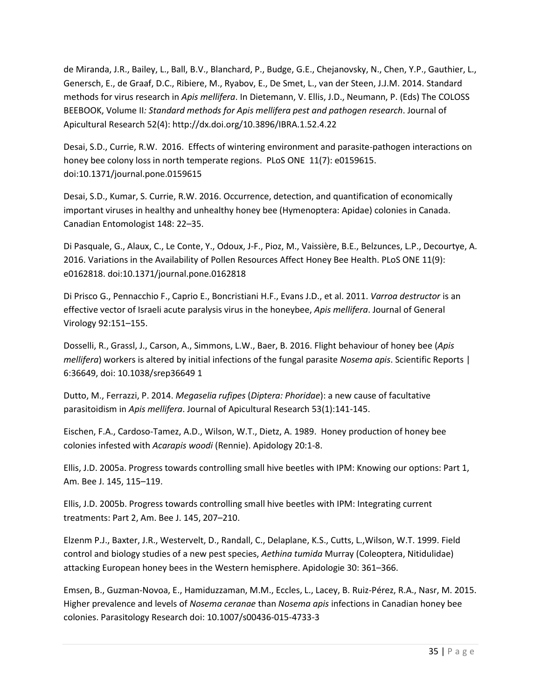de Miranda, J.R., Bailey, L., Ball, B.V., Blanchard, P., Budge, G.E., Chejanovsky, N., Chen, Y.P., Gauthier, L., Genersch, E., de Graaf, D.C., Ribiere, M., Ryabov, E., De Smet, L., van der Steen, J.J.M. 2014. Standard methods for virus research in *Apis mellifera*. In Dietemann, V. Ellis, J.D., Neumann, P. (Eds) The COLOSS BEEBOOK, Volume II*: Standard methods for Apis mellifera pest and pathogen research*. Journal of Apicultural Research 52(4): http://dx.doi.org/10.3896/IBRA.1.52.4.22

Desai, S.D., Currie, R.W. 2016. Effects of wintering environment and parasite-pathogen interactions on honey bee colony loss in north temperate regions. PLoS ONE 11(7): e0159615. doi:10.1371/journal.pone.0159615

Desai, S.D., Kumar, S. Currie, R.W. 2016. Occurrence, detection, and quantification of economically important viruses in healthy and unhealthy honey bee (Hymenoptera: Apidae) colonies in Canada. Canadian Entomologist 148: 22–35.

Di Pasquale, G., Alaux, C., Le Conte, Y., Odoux, J-F., Pioz, M., Vaissière, B.E., Belzunces, L.P., Decourtye, A. 2016. Variations in the Availability of Pollen Resources Affect Honey Bee Health. PLoS ONE 11(9): e0162818. doi:10.1371/journal.pone.0162818

Di Prisco G., Pennacchio F., Caprio E., Boncristiani H.F., Evans J.D., et al. 2011. *Varroa destructor* is an effective vector of Israeli acute paralysis virus in the honeybee, *Apis mellifera*. Journal of General Virology 92:151–155.

Dosselli, R., Grassl, J., Carson, A., Simmons, L.W., Baer, B. 2016. Flight behaviour of honey bee (*Apis mellifera*) workers is altered by initial infections of the fungal parasite *Nosema apis*. Scientific Reports | 6:36649, doi: 10.1038/srep36649 1

Dutto, M., Ferrazzi, P. 2014. *Megaselia rufipes* (*Diptera: Phoridae*): a new cause of facultative parasitoidism in *Apis mellifera*. Journal of Apicultural Research 53(1):141-145.

Eischen, F.A., Cardoso-Tamez, A.D., Wilson, W.T., Dietz, A. 1989. Honey production of honey bee colonies infested with *Acarapis woodi* (Rennie). Apidology 20:1-8.

Ellis, J.D. 2005a. Progress towards controlling small hive beetles with IPM: Knowing our options: Part 1, Am. Bee J. 145, 115–119.

Ellis, J.D. 2005b. Progress towards controlling small hive beetles with IPM: Integrating current treatments: Part 2, Am. Bee J. 145, 207–210.

Elzenm P.J., Baxter, J.R., Westervelt, D., Randall, C., Delaplane, K.S., Cutts, L.,Wilson, W.T. 1999. Field control and biology studies of a new pest species, *Aethina tumida* Murray (Coleoptera, Nitidulidae) attacking European honey bees in the Western hemisphere. Apidologie 30: 361–366.

Emsen, B., Guzman-Novoa, E., Hamiduzzaman, M.M., Eccles, L., Lacey, B. Ruiz-Pérez, R.A., Nasr, M. 2015. Higher prevalence and levels of *Nosema ceranae* than *Nosema apis* infections in Canadian honey bee colonies. Parasitology Research doi: 10.1007/s00436-015-4733-3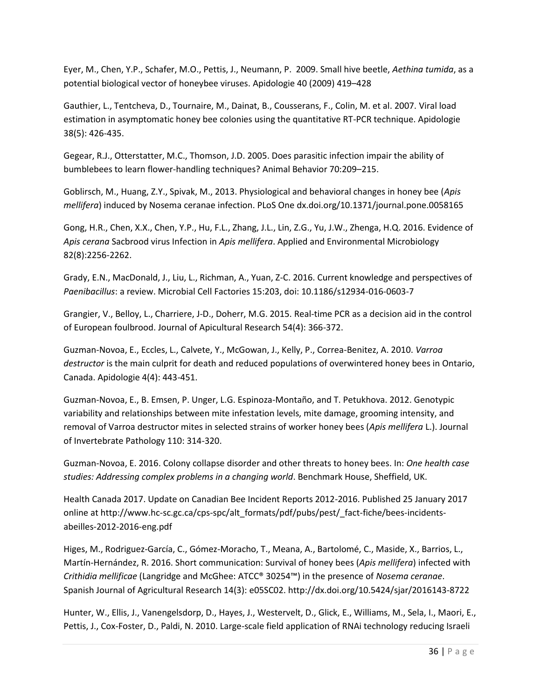Eyer, M., Chen, Y.P., Schafer, M.O., Pettis, J., Neumann, P. 2009. Small hive beetle, *Aethina tumida*, as a potential biological vector of honeybee viruses. Apidologie 40 (2009) 419–428

Gauthier, L., Tentcheva, D., Tournaire, M., Dainat, B., Cousserans, F., Colin, M. et al. 2007. Viral load estimation in asymptomatic honey bee colonies using the quantitative RT-PCR technique. Apidologie 38(5): 426-435.

Gegear, R.J., Otterstatter, M.C., Thomson, J.D. 2005. Does parasitic infection impair the ability of bumblebees to learn flower-handling techniques? Animal Behavior 70:209–215.

Goblirsch, M., Huang, Z.Y., Spivak, M., 2013. Physiological and behavioral changes in honey bee (*Apis mellifera*) induced by Nosema ceranae infection. PLoS One dx.doi.org/10.1371/journal.pone.0058165

Gong, H.R., Chen, X.X., Chen, Y.P., Hu, F.L., Zhang, J.L., Lin, Z.G., Yu, J.W., Zhenga, H.Q. 2016. Evidence of *Apis cerana* Sacbrood virus Infection in *Apis mellifera*. Applied and Environmental Microbiology 82(8):2256-2262.

Grady, E.N., MacDonald, J., Liu, L., Richman, A., Yuan, Z-C. 2016. Current knowledge and perspectives of *Paenibacillus*: a review. Microbial Cell Factories 15:203, doi: 10.1186/s12934-016-0603-7

Grangier, V., Belloy, L., Charriere, J-D., Doherr, M.G. 2015. Real-time PCR as a decision aid in the control of European foulbrood. Journal of Apicultural Research 54(4): 366-372.

Guzman-Novoa, E., Eccles, L., Calvete, Y., McGowan, J., Kelly, P., Correa-Benitez, A. 2010. *Varroa destructor* is the main culprit for death and reduced populations of overwintered honey bees in Ontario, Canada. Apidologie 4(4): 443-451.

Guzman-Novoa, E., B. Emsen, P. Unger, L.G. Espinoza-Montaño, and T. Petukhova. 2012. Genotypic variability and relationships between mite infestation levels, mite damage, grooming intensity, and removal of Varroa destructor mites in selected strains of worker honey bees (*Apis mellifera* L.). Journal of Invertebrate Pathology 110: 314-320.

Guzman-Novoa, E. 2016. Colony collapse disorder and other threats to honey bees. In: *One health case studies: Addressing complex problems in a changing world*. Benchmark House, Sheffield, UK.

Health Canada 2017. Update on Canadian Bee Incident Reports 2012-2016. Published 25 January 2017 online at http://www.hc-sc.gc.ca/cps-spc/alt\_formats/pdf/pubs/pest/\_fact-fiche/bees-incidentsabeilles-2012-2016-eng.pdf

Higes, M., Rodriguez-García, C., Gómez-Moracho, T., Meana, A., Bartolomé, C., Maside, X., Barrios, L., Martín-Hernández, R. 2016. Short communication: Survival of honey bees (*Apis mellifera*) infected with *Crithidia mellificae* (Langridge and McGhee: ATCC® 30254™) in the presence of *Nosema ceranae*. Spanish Journal of Agricultural Research 14(3): e05SC02. http://dx.doi.org/10.5424/sjar/2016143-8722

Hunter, W., Ellis, J., Vanengelsdorp, D., Hayes, J., Westervelt, D., Glick, E., Williams, M., Sela, I., Maori, E., Pettis, J., Cox-Foster, D., Paldi, N. 2010. Large-scale field application of RNAi technology reducing Israeli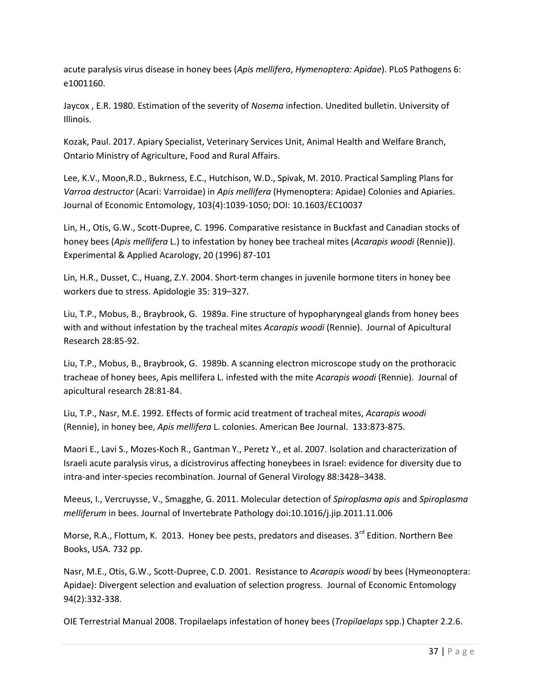acute paralysis virus disease in honey bees (*Apis mellifera*, *Hymenoptera: Apidae*). PLoS Pathogens 6: e1001160.

Jaycox , E.R. 1980. Estimation of the severity of *Nosema* infection. Unedited bulletin. University of Illinois.

Kozak, Paul. 2017. Apiary Specialist, Veterinary Services Unit, Animal Health and Welfare Branch, Ontario Ministry of Agriculture, Food and Rural Affairs.

Lee, K.V., Moon,R.D., Bukrness, E.C., Hutchison, W.D., Spivak, M. 2010. Practical Sampling Plans for *Varroa destructor* (Acari: Varroidae) in *Apis mellifera* (Hymenoptera: Apidae) Colonies and Apiaries. Journal of Economic Entomology, 103(4):1039-1050; DOI: 10.1603/EC10037

Lin, H., Otis, G.W., Scott-Dupree, C. 1996. Comparative resistance in Buckfast and Canadian stocks of honey bees (*Apis mellifera* L.) to infestation by honey bee tracheal mites (*Acarapis woodi* (Rennie)). Experimental & Applied Acarology, 20 (1996) 87-101

Lin, H.R., Dusset, C., Huang, Z.Y. 2004. Short-term changes in juvenile hormone titers in honey bee workers due to stress. Apidologie 35: 319–327.

Liu, T.P., Mobus, B., Braybrook, G. 1989a. Fine structure of hypopharyngeal glands from honey bees with and without infestation by the tracheal mites *Acarapis woodi* (Rennie). Journal of Apicultural Research 28:85-92.

Liu, T.P., Mobus, B., Braybrook, G. 1989b. A scanning electron microscope study on the prothoracic tracheae of honey bees, Apis mellifera L. infested with the mite *Acarapis woodi* (Rennie). Journal of apicultural research 28:81-84.

Liu, T.P., Nasr, M.E. 1992. Effects of formic acid treatment of tracheal mites, *Acarapis woodi* (Rennie), in honey bee, *Apis mellifera* L. colonies. American Bee Journal. 133:873-875.

Maori E., Lavi S., Mozes-Koch R., Gantman Y., Peretz Y., et al. 2007. Isolation and characterization of Israeli acute paralysis virus, a dicistrovirus affecting honeybees in Israel: evidence for diversity due to intra-and inter-species recombination. Journal of General Virology 88:3428–3438.

Meeus, I., Vercruysse, V., Smagghe, G. 2011. Molecular detection of *Spiroplasma apis* and *Spiroplasma melliferum* in bees. Journal of Invertebrate Pathology doi:10.1016/j.jip.2011.11.006

Morse, R.A., Flottum, K. 2013. Honey bee pests, predators and diseases. 3<sup>rd</sup> Edition. Northern Bee Books, USA. 732 pp.

Nasr, M.E., Otis, G.W., Scott-Dupree, C.D. 2001. Resistance to *Acarapis woodi* by bees (Hymeonoptera: Apidae): Divergent selection and evaluation of selection progress. Journal of Economic Entomology 94(2):332-338.

OIE Terrestrial Manual 2008. Tropilaelaps infestation of honey bees (*Tropilaelaps* spp.) Chapter 2.2.6.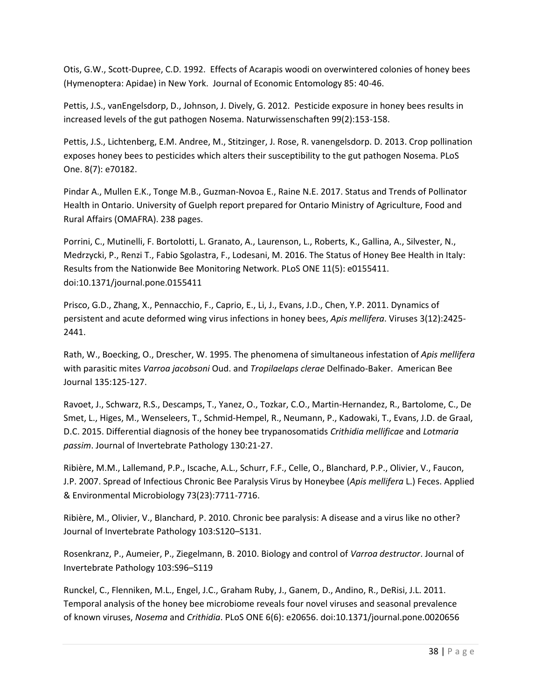Otis, G.W., Scott-Dupree, C.D. 1992. Effects of Acarapis woodi on overwintered colonies of honey bees (Hymenoptera: Apidae) in New York. Journal of Economic Entomology 85: 40-46.

Pettis, J.S., vanEngelsdorp, D., Johnson, J. Dively, G. 2012. Pesticide exposure in honey bees results in increased levels of the gut pathogen Nosema. Naturwissenschaften 99(2):153-158.

Pettis, J.S., Lichtenberg, E.M. Andree, M., Stitzinger, J. Rose, R. vanengelsdorp. D. 2013. Crop pollination exposes honey bees to pesticides which alters their susceptibility to the gut pathogen Nosema. PLoS One. 8(7): e70182.

Pindar A., Mullen E.K., Tonge M.B., Guzman-Novoa E., Raine N.E. 2017. Status and Trends of Pollinator Health in Ontario. University of Guelph report prepared for Ontario Ministry of Agriculture, Food and Rural Affairs (OMAFRA). 238 pages.

Porrini, C., Mutinelli, F. Bortolotti, L. Granato, A., Laurenson, L., Roberts, K., Gallina, A., Silvester, N., Medrzycki, P., Renzi T., Fabio Sgolastra, F., Lodesani, M. 2016. The Status of Honey Bee Health in Italy: Results from the Nationwide Bee Monitoring Network. PLoS ONE 11(5): e0155411. doi:10.1371/journal.pone.0155411

Prisco, G.D., Zhang, X., Pennacchio, F., Caprio, E., Li, J., Evans, J.D., Chen, Y.P. 2011. Dynamics of persistent and acute deformed wing virus infections in honey bees, *Apis mellifera*. Viruses 3(12):2425- 2441.

Rath, W., Boecking, O., Drescher, W. 1995. The phenomena of simultaneous infestation of *Apis mellifera* with parasitic mites *Varroa jacobsoni* Oud. and *Tropilaelaps clerae* Delfinado-Baker. American Bee Journal 135:125-127.

Ravoet, J., Schwarz, R.S., Descamps, T., Yanez, O., Tozkar, C.O., Martin-Hernandez, R., Bartolome, C., De Smet, L., Higes, M., Wenseleers, T., Schmid-Hempel, R., Neumann, P., Kadowaki, T., Evans, J.D. de Graal, D.C. 2015. Differential diagnosis of the honey bee trypanosomatids *Crithidia mellificae* and *Lotmaria passim*. Journal of Invertebrate Pathology 130:21-27.

Ribière, M.M., Lallemand, P.P., Iscache, A.L., Schurr, F.F., Celle, O., Blanchard, P.P., Olivier, V., Faucon, J.P. 2007. Spread of Infectious Chronic Bee Paralysis Virus by Honeybee (*Apis mellifera* L.) Feces. Applied & Environmental Microbiology 73(23):7711-7716.

Ribière, M., Olivier, V., Blanchard, P. 2010. Chronic bee paralysis: A disease and a virus like no other? Journal of Invertebrate Pathology 103:S120–S131.

Rosenkranz, P., Aumeier, P., Ziegelmann, B. 2010. Biology and control of *Varroa destructor*. Journal of Invertebrate Pathology 103:S96–S119

Runckel, C., Flenniken, M.L., Engel, J.C., Graham Ruby, J., Ganem, D., Andino, R., DeRisi, J.L. 2011. Temporal analysis of the honey bee microbiome reveals four novel viruses and seasonal prevalence of known viruses, *Nosema* and *Crithidia*. PLoS ONE 6(6): e20656. doi:10.1371/journal.pone.0020656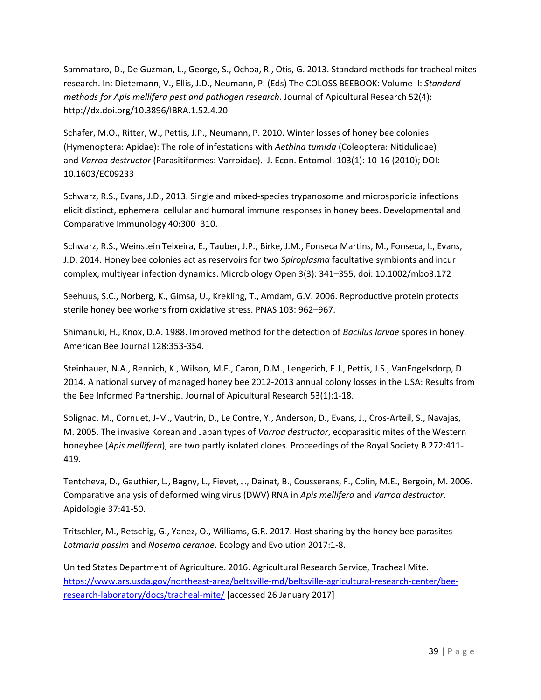Sammataro, D., De Guzman, L., George, S., Ochoa, R., Otis, G. 2013. Standard methods for tracheal mites research. In: Dietemann, V., Ellis, J.D., Neumann, P. (Eds) The COLOSS BEEBOOK: Volume II: *Standard methods for Apis mellifera pest and pathogen research*. Journal of Apicultural Research 52(4): http://dx.doi.org/10.3896/IBRA.1.52.4.20

Schafer, M.O., Ritter, W., Pettis, J.P., Neumann, P. 2010. Winter losses of honey bee colonies (Hymenoptera: Apidae): The role of infestations with *Aethina tumida* (Coleoptera: Nitidulidae) and *Varroa destructor* (Parasitiformes: Varroidae). J. Econ. Entomol. 103(1): 10-16 (2010); DOI: 10.1603/EC09233

Schwarz, R.S., Evans, J.D., 2013. Single and mixed-species trypanosome and microsporidia infections elicit distinct, ephemeral cellular and humoral immune responses in honey bees. Developmental and Comparative Immunology 40:300–310.

Schwarz, R.S., Weinstein Teixeira, E., Tauber, J.P., Birke, J.M., Fonseca Martins, M., Fonseca, I., Evans, J.D. 2014. Honey bee colonies act as reservoirs for two *Spiroplasma* facultative symbionts and incur complex, multiyear infection dynamics. Microbiology Open 3(3): 341–355, doi: 10.1002/mbo3.172

Seehuus, S.C., Norberg, K., Gimsa, U., Krekling, T., Amdam, G.V. 2006. Reproductive protein protects sterile honey bee workers from oxidative stress. PNAS 103: 962–967.

Shimanuki, H., Knox, D.A. 1988. Improved method for the detection of *Bacillus larvae* spores in honey. American Bee Journal 128:353-354.

Steinhauer, N.A., Rennich, K., Wilson, M.E., Caron, D.M., Lengerich, E.J., Pettis, J.S., VanEngelsdorp, D. 2014. A national survey of managed honey bee 2012-2013 annual colony losses in the USA: Results from the Bee Informed Partnership. Journal of Apicultural Research 53(1):1-18.

Solignac, M., Cornuet, J-M., Vautrin, D., Le Contre, Y., Anderson, D., Evans, J., Cros-Arteil, S., Navajas, M. 2005. The invasive Korean and Japan types of *Varroa destructor*, ecoparasitic mites of the Western honeybee (*Apis mellifera*), are two partly isolated clones. Proceedings of the Royal Society B 272:411- 419.

Tentcheva, D., Gauthier, L., Bagny, L., Fievet, J., Dainat, B., Cousserans, F., Colin, M.E., Bergoin, M. 2006. Comparative analysis of deformed wing virus (DWV) RNA in *Apis mellifera* and *Varroa destructor*. Apidologie 37:41-50.

Tritschler, M., Retschig, G., Yanez, O., Williams, G.R. 2017. Host sharing by the honey bee parasites *Lotmaria passim* and *Nosema ceranae*. Ecology and Evolution 2017:1-8.

United States Department of Agriculture. 2016. Agricultural Research Service, Tracheal Mite. [https://www.ars.usda.gov/northeast-area/beltsville-md/beltsville-agricultural-research-center/bee](https://www.ars.usda.gov/northeast-area/beltsville-md/beltsville-agricultural-research-center/bee-research-laboratory/docs/tracheal-mite/)[research-laboratory/docs/tracheal-mite/ \[](https://www.ars.usda.gov/northeast-area/beltsville-md/beltsville-agricultural-research-center/bee-research-laboratory/docs/tracheal-mite/)accessed 26 January 2017]